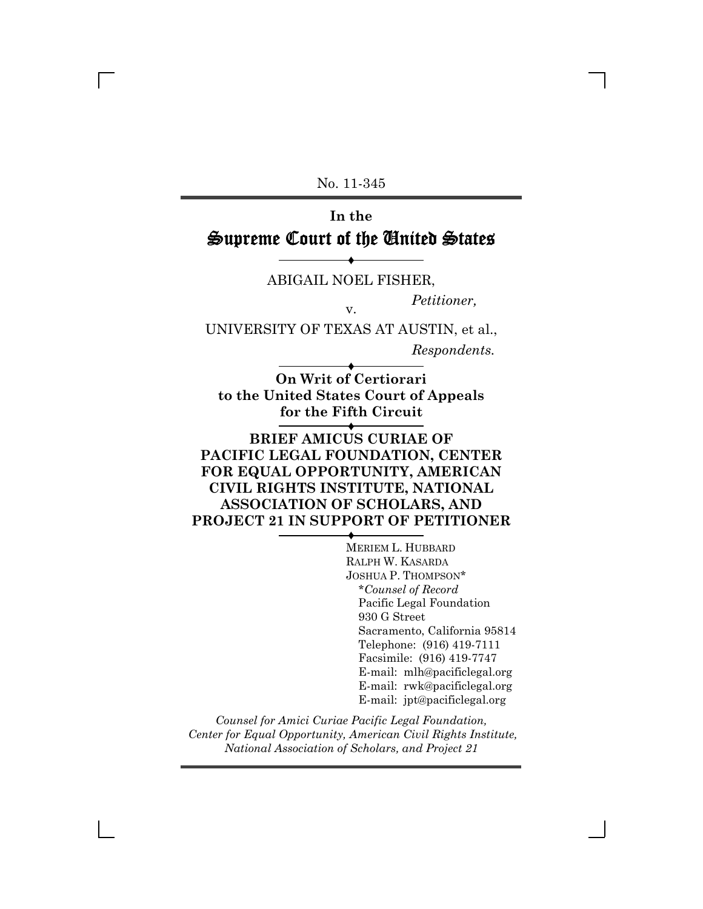No. 11-345

## **In the** Supreme Court of the United States

® ABIGAIL NOEL FISHER,

*Petitioner,* v.

UNIVERSITY OF TEXAS AT AUSTIN, et al.,

*Respondents.*

® **On Writ of Certiorari to the United States Court of Appeals for the Fifth Circuit**

### ® **BRIEF AMICUS CURIAE OF PACIFIC LEGAL FOUNDATION, CENTER FOR EQUAL OPPORTUNITY, AMERICAN CIVIL RIGHTS INSTITUTE, NATIONAL ASSOCIATION OF SCHOLARS, AND PROJECT 21 IN SUPPORT OF PETITIONER**

® MERIEM L. HUBBARD RALPH W. KASARDA JOSHUA P. THOMPSON\* \**Counsel of Record* Pacific Legal Foundation 930 G Street Sacramento, California 95814 Telephone: (916) 419-7111 Facsimile: (916) 419-7747 E-mail: mlh@pacificlegal.org E-mail: rwk@pacificlegal.org E-mail: jpt@pacificlegal.org

*Counsel for Amici Curiae Pacific Legal Foundation, Center for Equal Opportunity, American Civil Rights Institute, National Association of Scholars, and Project 21*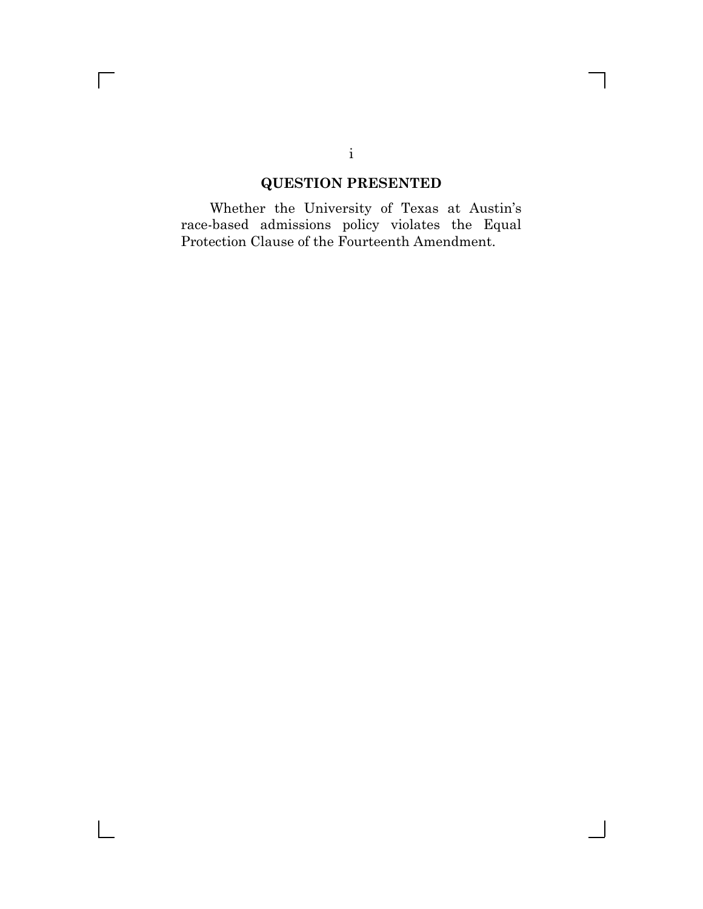## **QUESTION PRESENTED**

Whether the University of Texas at Austin's race-based admissions policy violates the Equal Protection Clause of the Fourteenth Amendment.

### i

 $\mathsf{l}$ 

 $\overline{\Gamma}$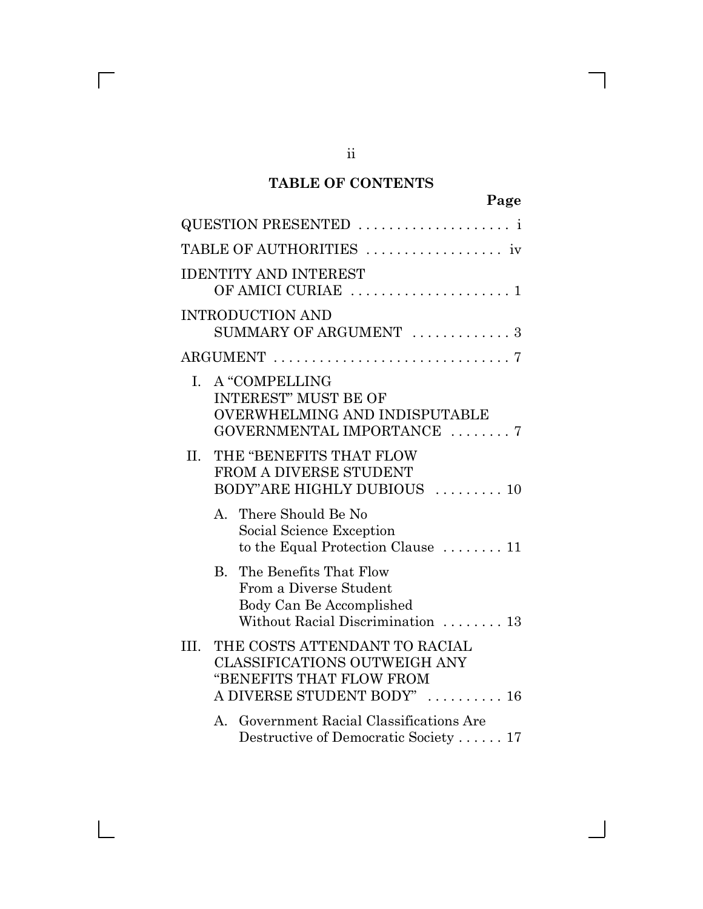## **TABLE OF CONTENTS**

| QUESTION PRESENTED                                                                                                               |
|----------------------------------------------------------------------------------------------------------------------------------|
| TABLE OF AUTHORITIES  iv                                                                                                         |
| <b>IDENTITY AND INTEREST</b><br>OF AMICI CURIAE  1                                                                               |
| <b>INTRODUCTION AND</b><br>SUMMARY OF ARGUMENT  3                                                                                |
|                                                                                                                                  |
| A "COMPELLING<br>$\mathbf{L}$<br><b>INTEREST" MUST BE OF</b><br>OVERWHELMING AND INDISPUTABLE<br>GOVERNMENTAL IMPORTANCE 7       |
| THE "BENEFITS THAT FLOW<br>II.<br>FROM A DIVERSE STUDENT<br>BODY"ARE HIGHLY DUBIOUS  10                                          |
| A. There Should Be No<br>Social Science Exception<br>to the Equal Protection Clause  11                                          |
| The Benefits That Flow<br>$B_{\cdot}$<br>From a Diverse Student<br>Body Can Be Accomplished<br>Without Racial Discrimination  13 |
| THE COSTS ATTENDANT TO RACIAL<br>III.<br>CLASSIFICATIONS OUTWEIGH ANY<br>"BENEFITS THAT FLOW FROM<br>A DIVERSE STUDENT BODY"  16 |
| A. Government Racial Classifications Are<br>Destructive of Democratic Society  17                                                |

ii

 $\overline{\Gamma}$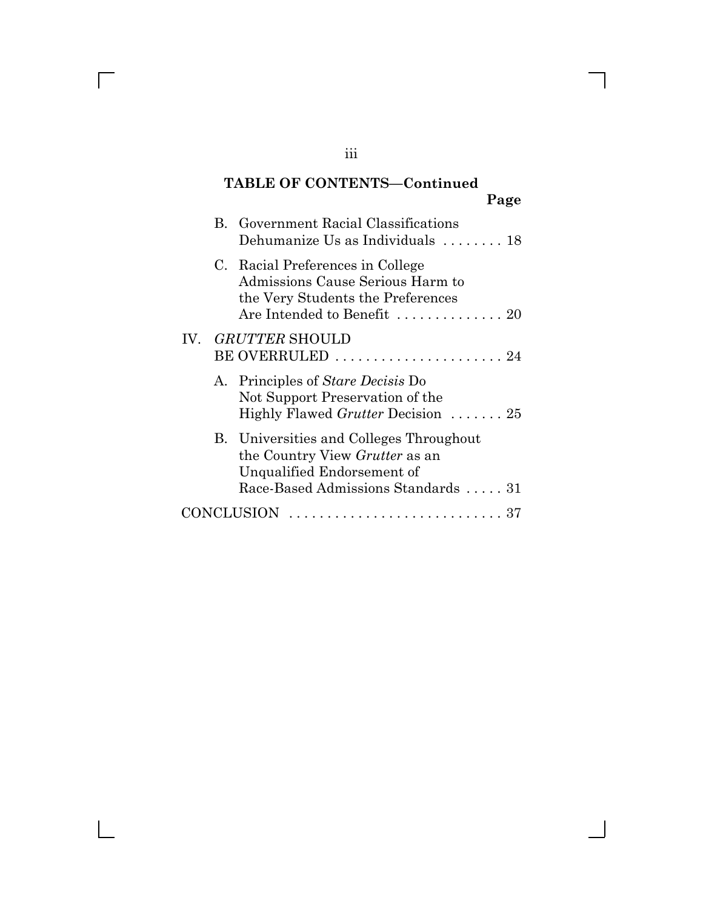## **TABLE OF CONTENTS-Continued Page**

|     | <b>B.</b> Government Racial Classifications<br>Dehumanize Us as Individuals  18                                                                |
|-----|------------------------------------------------------------------------------------------------------------------------------------------------|
|     | C. Racial Preferences in College<br>Admissions Cause Serious Harm to<br>the Very Students the Preferences<br>Are Intended to Benefit  20       |
| IV. | <i>GRUTTER</i> SHOULD<br>BE OVERRULED  24                                                                                                      |
|     | A. Principles of Stare Decisis Do<br>Not Support Preservation of the<br>Highly Flawed Grutter Decision  25                                     |
|     | B. Universities and Colleges Throughout<br>the Country View Grutter as an<br>Unqualified Endorsement of<br>Race-Based Admissions Standards  31 |
|     | CONCLUSION                                                                                                                                     |

iii

 $\overline{\Gamma}$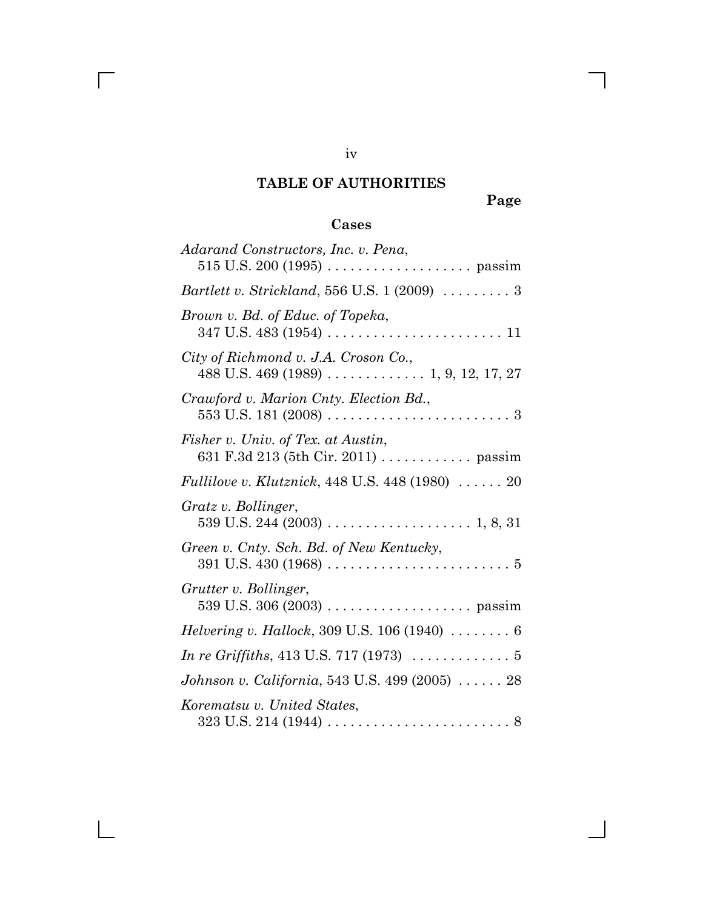## **TABLE OF AUTHORITIES**

**Page**

 $\overline{\phantom{a}}$ 

## **Cases**

| Adarand Constructors, Inc. v. Pena,                                                                                                                                |
|--------------------------------------------------------------------------------------------------------------------------------------------------------------------|
| <i>Bartlett v. Strickland,</i> 556 U.S. $1(2009)$ 3                                                                                                                |
| Brown v. Bd. of Educ. of Topeka,                                                                                                                                   |
| City of Richmond v. J.A. Croson Co.,<br>488 U.S. 469 (1989) 1, 9, 12, 17, 27                                                                                       |
| Crawford v. Marion Cnty. Election Bd.,                                                                                                                             |
| Fisher v. Univ. of Tex. at Austin,<br>631 F.3d 213 (5th Cir. 2011) passim                                                                                          |
| Fullilove v. Klutznick, 448 U.S. 448 (1980)  20                                                                                                                    |
| Gratz v. Bollinger,                                                                                                                                                |
| Green v. Cnty. Sch. Bd. of New Kentucky,                                                                                                                           |
| Grutter v. Bollinger,                                                                                                                                              |
| <i>Helvering v. Hallock</i> , 309 U.S. 106 (1940) $\ldots \ldots \ldots 6$                                                                                         |
| <i>In re Griffiths, 413 U.S. 717 (1973)</i> $\ldots \ldots \ldots 5$                                                                                               |
| Johnson v. California, 543 U.S. 499 (2005)  28                                                                                                                     |
| Korematsu v. United States,<br>$323 \text{ U.S. } 214 \text{ (}1944 \text{) } \ldots \ldots \ldots \ldots \ldots \ldots \ldots \ldots \ldots \ldots \ldots \ldots$ |

iv

 $\overline{\Gamma}$ 

 $\mathbf{I}$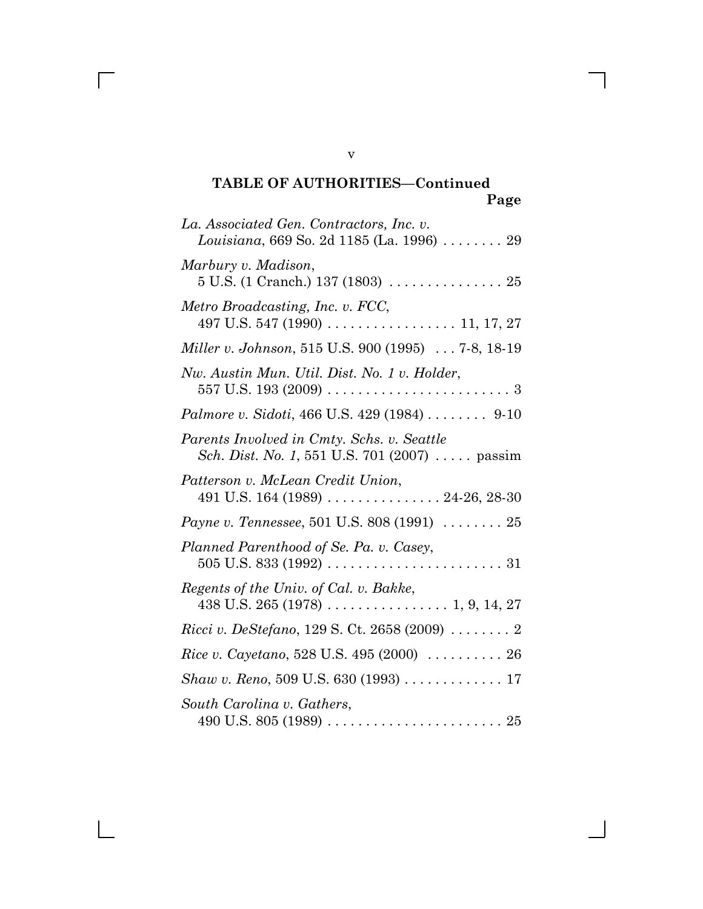| La. Associated Gen. Contractors, Inc. v.<br>Louisiana, 669 So. 2d 1185 (La. 1996)  29                      |
|------------------------------------------------------------------------------------------------------------|
| Marbury v. Madison,<br>$5$ U.S. (1 Cranch.) 137 (1803) $\ldots \ldots \ldots \ldots \ldots 25$             |
| Metro Broadcasting, Inc. v. FCC,                                                                           |
| Miller v. Johnson, 515 U.S. 900 (1995)  7-8, 18-19                                                         |
| Nw. Austin Mun. Util. Dist. No. 1 v. Holder,                                                               |
| <i>Palmore v. Sidoti, 466 U.S. 429 (1984) </i> 9-10                                                        |
| Parents Involved in Cmty. Schs. v. Seattle<br><i>Sch. Dist. No. 1,</i> 551 U.S. 701 (2007) $\ldots$ passim |
| Patterson v. McLean Credit Union,                                                                          |
| Payne v. Tennessee, 501 U.S. 808 (1991)  25                                                                |
| Planned Parenthood of Se. Pa. v. Casey,                                                                    |
| Regents of the Univ. of Cal. v. Bakke,                                                                     |
| <i>Ricci v. DeStefano</i> , 129 S. Ct. 2658 (2009) 2                                                       |
| <i>Rice v. Cayetano</i> , 528 U.S. 495 (2000) $\ldots \ldots \ldots 26$                                    |
| Shaw v. Reno, 509 U.S. 630 (1993) 17                                                                       |
| South Carolina v. Gathers,                                                                                 |

v

 $\overline{\Gamma}$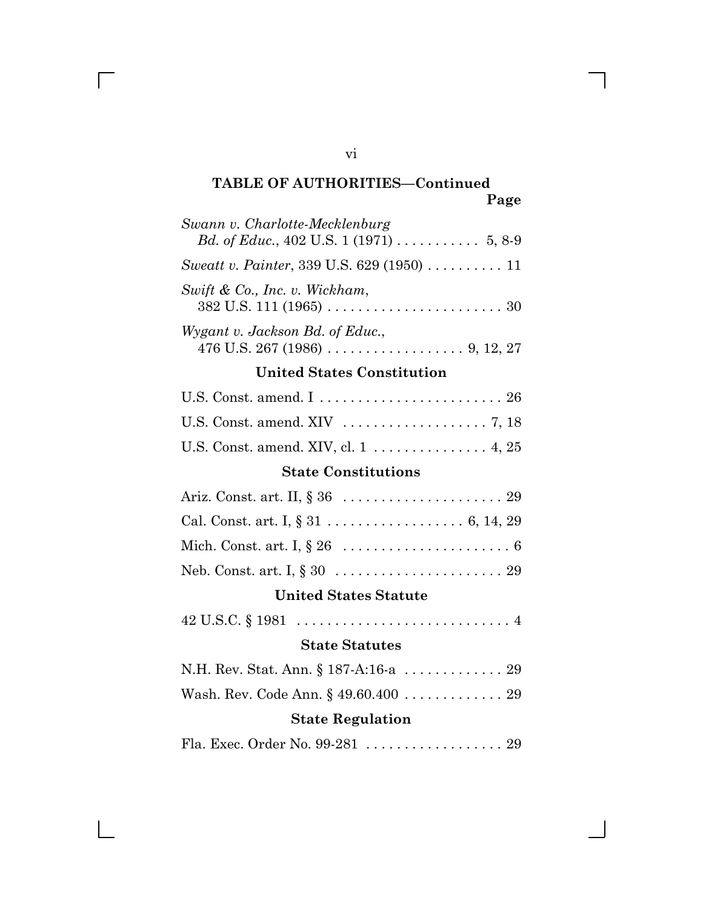| Swann v. Charlotte-Mecklenburg                                                                                  |
|-----------------------------------------------------------------------------------------------------------------|
| Bd. of Educ., 402 U.S. 1 (1971) 5, 8-9                                                                          |
| Sweatt v. Painter, 339 U.S. 629 (1950) 11                                                                       |
| Swift & Co., Inc. v. Wickham,                                                                                   |
| Wygant v. Jackson Bd. of Educ.,                                                                                 |
| <b>United States Constitution</b>                                                                               |
| U.S. Const. amend. I  26                                                                                        |
|                                                                                                                 |
| U.S. Const. amend. XIV, cl. $1 \ldots \ldots \ldots \ldots$ 4, 25                                               |
| <b>State Constitutions</b>                                                                                      |
|                                                                                                                 |
|                                                                                                                 |
|                                                                                                                 |
|                                                                                                                 |
| <b>United States Statute</b>                                                                                    |
| $42 \text{ U.S.C.} \S 1981 \ldots \ldots \ldots \ldots \ldots \ldots \ldots \ldots \ldots \ldots \ldots \ldots$ |
| <b>State Statutes</b>                                                                                           |
| N.H. Rev. Stat. Ann. § 187-A:16-a 29                                                                            |
| Wash. Rev. Code Ann. § 49.60.400 29                                                                             |
| <b>State Regulation</b>                                                                                         |
| Fla. Exec. Order No. 99-281  29                                                                                 |

vi

 $\overline{\Gamma}$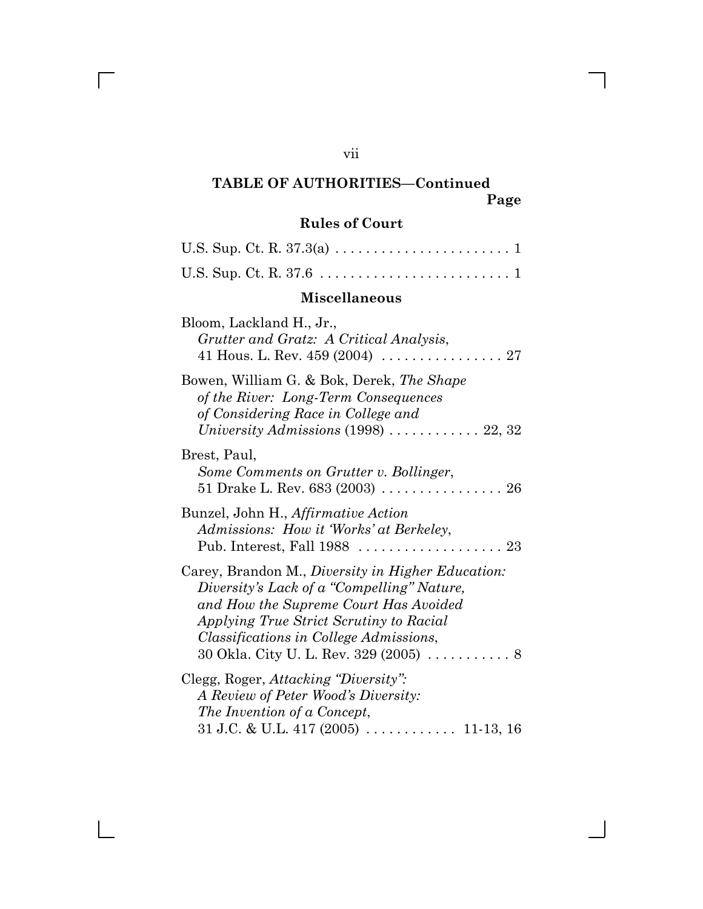# TABLE OF AUTHORITIES-Continued vii

 $\overline{\Gamma}$ 

 $\mathbf{L}$ 

## **Page**

## **Rules of Court**

## **Miscellaneous**

| Bloom, Lackland H., Jr.,<br>Grutter and Gratz: A Critical Analysis,                                                                                                                                                                                                           |
|-------------------------------------------------------------------------------------------------------------------------------------------------------------------------------------------------------------------------------------------------------------------------------|
| Bowen, William G. & Bok, Derek, The Shape<br>of the River: Long-Term Consequences<br>of Considering Race in College and<br>University Admissions $(1998)$ 22, 32                                                                                                              |
| Brest, Paul,<br>Some Comments on Grutter v. Bollinger,<br>51 Drake L. Rev. 683 (2003) 26                                                                                                                                                                                      |
| Bunzel, John H., Affirmative Action<br>Admissions: How it 'Works' at Berkeley,<br>Pub. Interest, Fall $1988$<br>-23                                                                                                                                                           |
| Carey, Brandon M., Diversity in Higher Education:<br>Diversity's Lack of a "Compelling" Nature,<br>and How the Supreme Court Has Avoided<br>Applying True Strict Scrutiny to Racial<br><i>Classifications in College Admissions,</i><br>30 Okla. City U. L. Rev. 329 (2005) 8 |
| Clegg, Roger, Attacking "Diversity":<br>A Review of Peter Wood's Diversity:<br>The Invention of a Concept,                                                                                                                                                                    |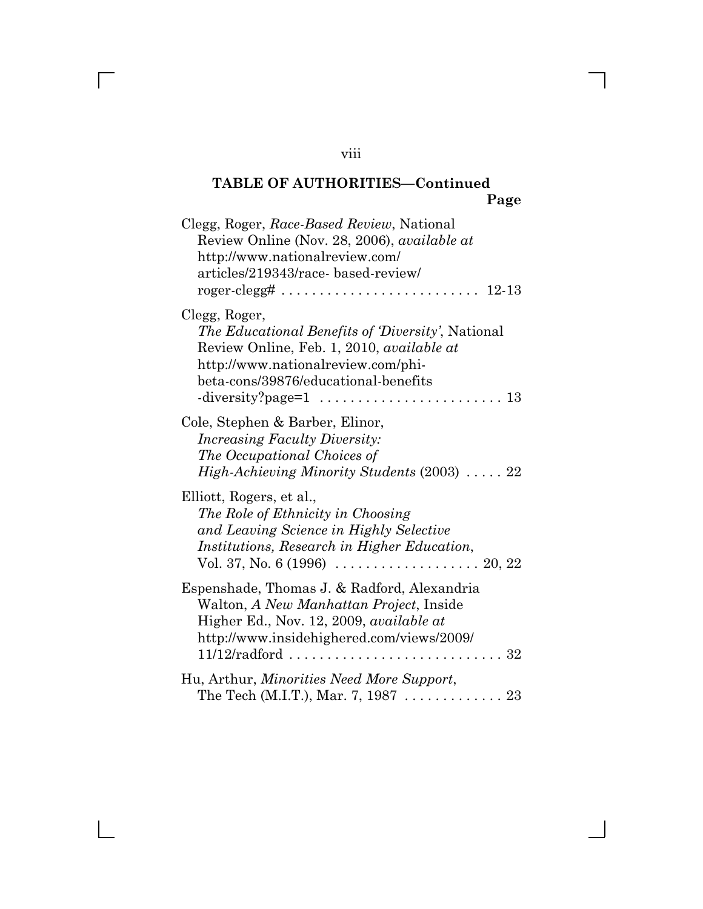| Clegg, Roger, Race-Based Review, National<br>Review Online (Nov. 28, 2006), available at<br>http://www.nationalreview.com/<br>articles/219343/race-based-review/<br>$roger-clegg# \dots \dots \dots \dots \dots \dots \dots \dots \dots$<br>12-13 |
|---------------------------------------------------------------------------------------------------------------------------------------------------------------------------------------------------------------------------------------------------|
| Clegg, Roger,<br>The Educational Benefits of Diversity', National<br>Review Online, Feb. 1, 2010, available at<br>http://www.nationalreview.com/phi-<br>beta-cons/39876/educational-benefits<br>13                                                |
| Cole, Stephen & Barber, Elinor,<br><i>Increasing Faculty Diversity:</i><br>The Occupational Choices of<br><i>High-Achieving Minority Students</i> (2003)  22                                                                                      |
| Elliott, Rogers, et al.,<br>The Role of Ethnicity in Choosing<br>and Leaving Science in Highly Selective<br><i>Institutions, Research in Higher Education,</i>                                                                                    |
| Espenshade, Thomas J. & Radford, Alexandria<br>Walton, A New Manhattan Project, Inside<br>Higher Ed., Nov. 12, 2009, <i>available at</i><br>http://www.insidehighered.com/views/2009/<br>$11/12/radford$ ,,,,,,,<br>. 32                          |
| Hu, Arthur, <i>Minorities Need More Support</i> ,<br>The Tech (M.I.T.), Mar. 7, 1987  23                                                                                                                                                          |

 $\overline{\Gamma}$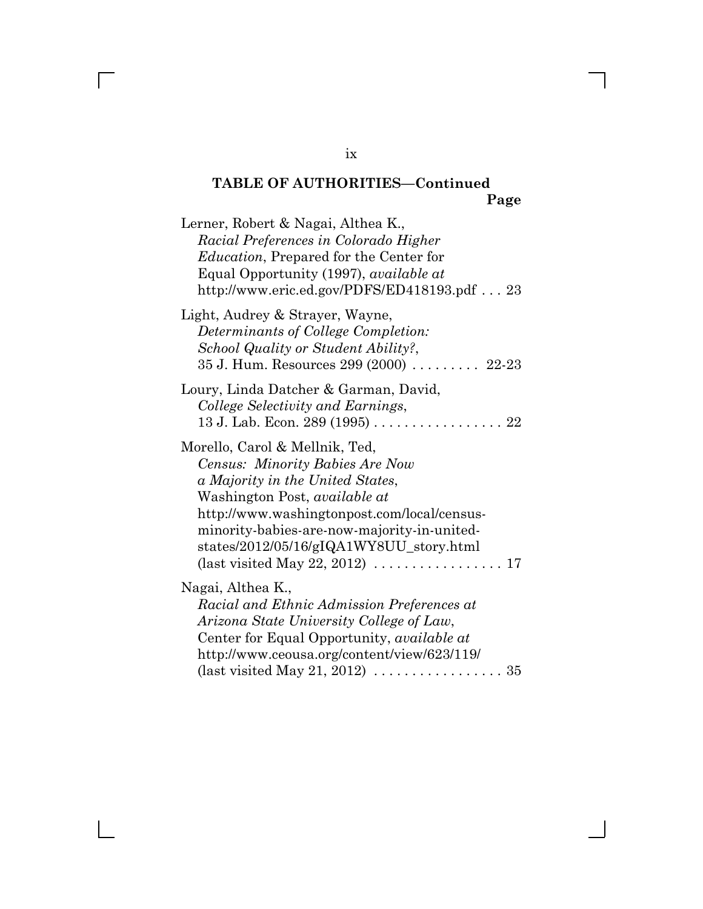| Lerner, Robert & Nagai, Althea K.,<br>Racial Preferences in Colorado Higher<br><i>Education</i> , Prepared for the Center for<br>Equal Opportunity (1997), available at<br>http://www.eric.ed.gov/PDFS/ED418193.pdf 23                                                                                                                                        |
|---------------------------------------------------------------------------------------------------------------------------------------------------------------------------------------------------------------------------------------------------------------------------------------------------------------------------------------------------------------|
| Light, Audrey & Strayer, Wayne,<br>Determinants of College Completion:<br>School Quality or Student Ability?,<br>35 J. Hum. Resources 299 (2000)  22-23                                                                                                                                                                                                       |
| Loury, Linda Datcher & Garman, David,<br>College Selectivity and Earnings,<br>13 J. Lab. Econ. 289 (1995) 22                                                                                                                                                                                                                                                  |
| Morello, Carol & Mellnik, Ted,<br>Census: Minority Babies Are Now<br>a Majority in the United States,<br>Washington Post, <i>available at</i><br>http://www.washingtonpost.com/local/census-<br>minority-babies-are-now-majority-in-united-<br>states/2012/05/16/gIQA1WY8UU_story.html<br>(last visited May 22, 2012) $\ldots \ldots \ldots \ldots \ldots 17$ |
| Nagai, Althea K.,<br>Racial and Ethnic Admission Preferences at<br>Arizona State University College of Law,<br>Center for Equal Opportunity, <i>available at</i><br>http://www.ceousa.org/content/view/623/119/                                                                                                                                               |

### ix

 $\overline{\Gamma}$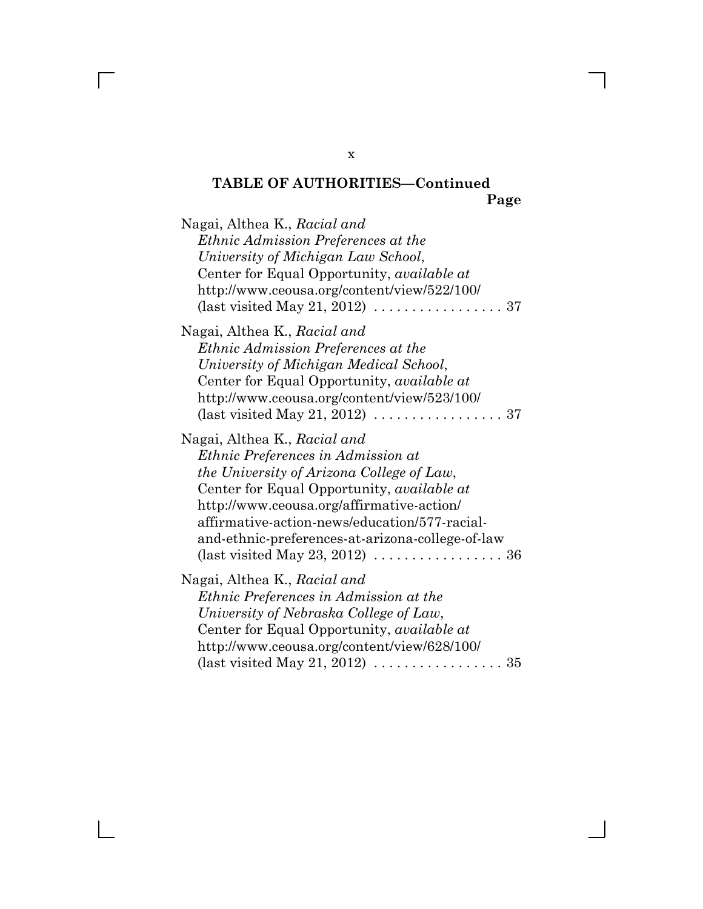| Nagai, Althea K., Racial and<br>Ethnic Admission Preferences at the<br>University of Michigan Law School,<br>Center for Equal Opportunity, <i>available at</i><br>http://www.ceousa.org/content/view/522/100/<br>(last visited May 21, 2012) $\ldots \ldots \ldots \ldots \ldots \ldots$ 37                                                                                                   |
|-----------------------------------------------------------------------------------------------------------------------------------------------------------------------------------------------------------------------------------------------------------------------------------------------------------------------------------------------------------------------------------------------|
| Nagai, Althea K., Racial and<br>Ethnic Admission Preferences at the<br>University of Michigan Medical School,<br>Center for Equal Opportunity, <i>available at</i><br>http://www.ceousa.org/content/view/523/100/<br>(last visited May 21, 2012) $\ldots \ldots \ldots \ldots \ldots \ldots$ 37                                                                                               |
| Nagai, Althea K., Racial and<br>Ethnic Preferences in Admission at<br>the University of Arizona College of Law,<br>Center for Equal Opportunity, available at<br>http://www.ceousa.org/affirmative-action/<br>affirmative-action-news/education/577-racial-<br>and-ethnic-preferences-at-arizona-college-of-law<br>(last visited May 23, 2012) $\ldots \ldots \ldots \ldots \ldots \ldots$ 36 |
| Nagai, Althea K., Racial and<br>Ethnic Preferences in Admission at the<br>University of Nebraska College of Law,<br>Center for Equal Opportunity, <i>available at</i><br>http://www.ceousa.org/content/view/628/100/<br>(last visited May 21, 2012) $\ldots \ldots \ldots \ldots \ldots 35$                                                                                                   |

x

 $\overline{\Gamma}$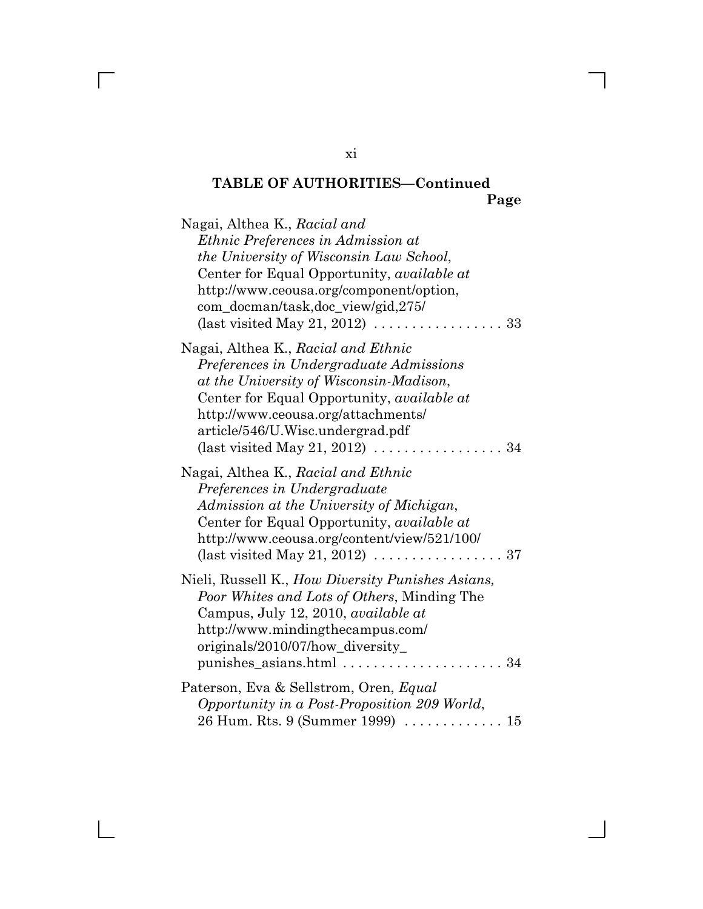| Nagai, Althea K., Racial and<br><i>Ethnic Preferences in Admission at</i><br>the University of Wisconsin Law School,<br>Center for Equal Opportunity, <i>available at</i><br>http://www.ceousa.org/component/option,<br>com_docman/task,doc_view/gid,275/<br>(last visited May 21, 2012) $\dots \dots \dots \dots$<br>33        |
|---------------------------------------------------------------------------------------------------------------------------------------------------------------------------------------------------------------------------------------------------------------------------------------------------------------------------------|
| Nagai, Althea K., Racial and Ethnic<br>Preferences in Undergraduate Admissions<br>at the University of Wisconsin-Madison,<br>Center for Equal Opportunity, <i>available at</i><br>http://www.ceousa.org/attachments/<br>article/546/U.Wisc.undergrad.pdf<br>(last visited May 21, 2012) $\ldots \ldots \ldots \ldots \ldots 34$ |
| Nagai, Althea K., Racial and Ethnic<br>Preferences in Undergraduate<br>Admission at the University of Michigan,<br>Center for Equal Opportunity, <i>available at</i><br>http://www.ceousa.org/content/view/521/100/<br>(last visited May 21, 2012) $\ldots \ldots \ldots \ldots \ldots \ldots$ 37                               |
| Nieli, Russell K., How Diversity Punishes Asians,<br>Poor Whites and Lots of Others, Minding The<br>Campus, July 12, 2010, available at<br>http://www.mindingthecampus.com/<br>originals/2010/07/how_diversity_<br>punishes_asians.html  34                                                                                     |
| Paterson, Eva & Sellstrom, Oren, Equal<br>Opportunity in a Post-Proposition 209 World,<br>26 Hum. Rts. 9 (Summer 1999)  15                                                                                                                                                                                                      |

xi

 $\overline{\Gamma}$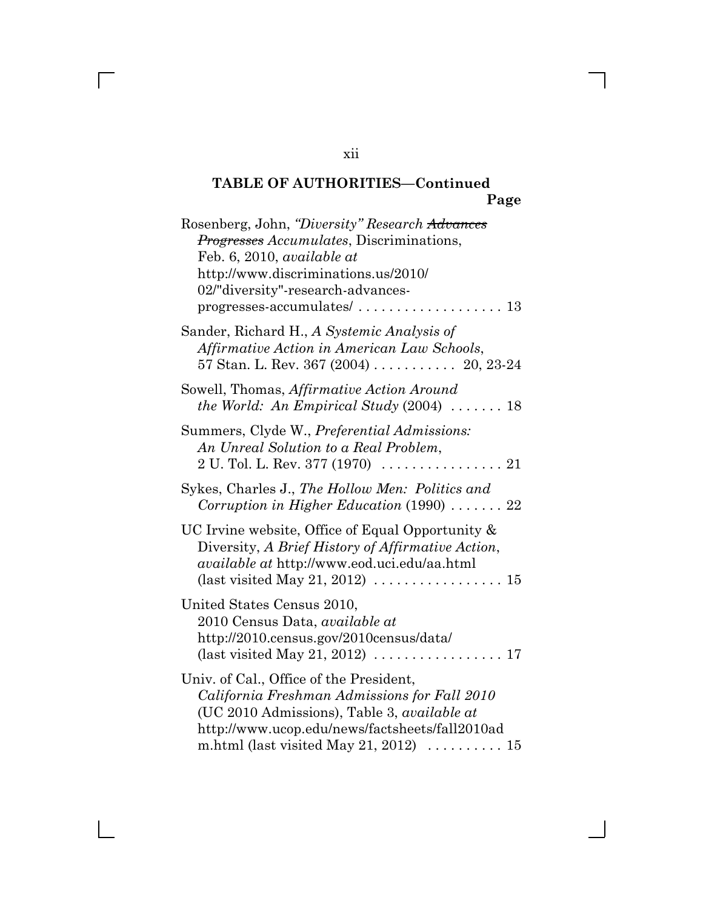| Rosenberg, John, "Diversity" Research Advances<br><i>Progresses Accumulates</i> , Discriminations,<br>Feb. 6, 2010, available at<br>http://www.discriminations.us/2010/<br>02/"diversity"-research-advances-<br>$progresses-accumulates/ \dots \dots \dots \dots \dots \dots \dots \dots 13$ |
|----------------------------------------------------------------------------------------------------------------------------------------------------------------------------------------------------------------------------------------------------------------------------------------------|
| Sander, Richard H., A Systemic Analysis of<br>Affirmative Action in American Law Schools,<br>57 Stan. L. Rev. 367 $(2004)$ 20, 23-24                                                                                                                                                         |
| Sowell, Thomas, Affirmative Action Around<br>the World: An Empirical Study $(2004)$ 18                                                                                                                                                                                                       |
| Summers, Clyde W., Preferential Admissions:<br>An Unreal Solution to a Real Problem,<br>$2 U. Tol. L. Rev. 377 (1970) \ldots \ldots \ldots \ldots 21$                                                                                                                                        |
| Sykes, Charles J., The Hollow Men: Politics and<br>Corruption in Higher Education $(1990)$ 22                                                                                                                                                                                                |
| UC Irvine website, Office of Equal Opportunity &<br>Diversity, A Brief History of Affirmative Action,<br><i>available at http://www.eod.uci.edu/aa.html</i><br>(last visited May 21, 2012) $\dots \dots \dots \dots \dots \dots \dots$                                                       |
| United States Census 2010,<br>2010 Census Data, <i>available at</i><br>http://2010.census.gov/2010census/data/<br>(last visited May 21, 2012) $\ldots \ldots \ldots \ldots \ldots 17$                                                                                                        |
| Univ. of Cal., Office of the President,<br>California Freshman Admissions for Fall 2010<br>(UC 2010 Admissions), Table 3, <i>available at</i><br>http://www.ucop.edu/news/factsheets/fall2010ad<br>m.html (last visited May 21, 2012) $\dots \dots \dots 15$                                 |

xii

 $\overline{\Gamma}$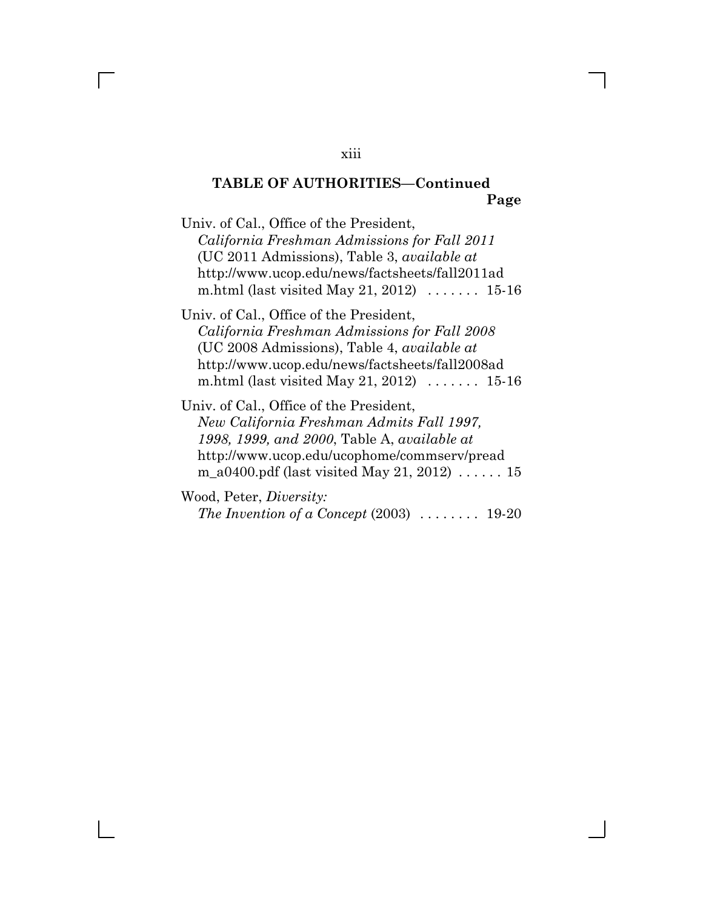Univ. of Cal., Office of the President, *California Freshman Admissions for Fall 2011* (UC 2011 Admissions), Table 3, *available at* http://www.ucop.edu/news/factsheets/fall2011ad m.html (last visited May 21, 2012) . . . . . . . 15-16

Univ. of Cal., Office of the President, *California Freshman Admissions for Fall 2008* (UC 2008 Admissions), Table 4, *available at* http://www.ucop.edu/news/factsheets/fall2008ad m.html (last visited May 21, 2012) . . . . . . . 15-16

Univ. of Cal., Office of the President, *New California Freshman Admits Fall 1997, 1998, 1999, and 2000*, Table A, *available at* http://www.ucop.edu/ucophome/commserv/pread m\_a0400.pdf (last visited May 21, 2012) . . . . . . 15

Wood, Peter, *Diversity: The Invention of a Concept* (2003) . . . . . . . . 19-20

#### xiii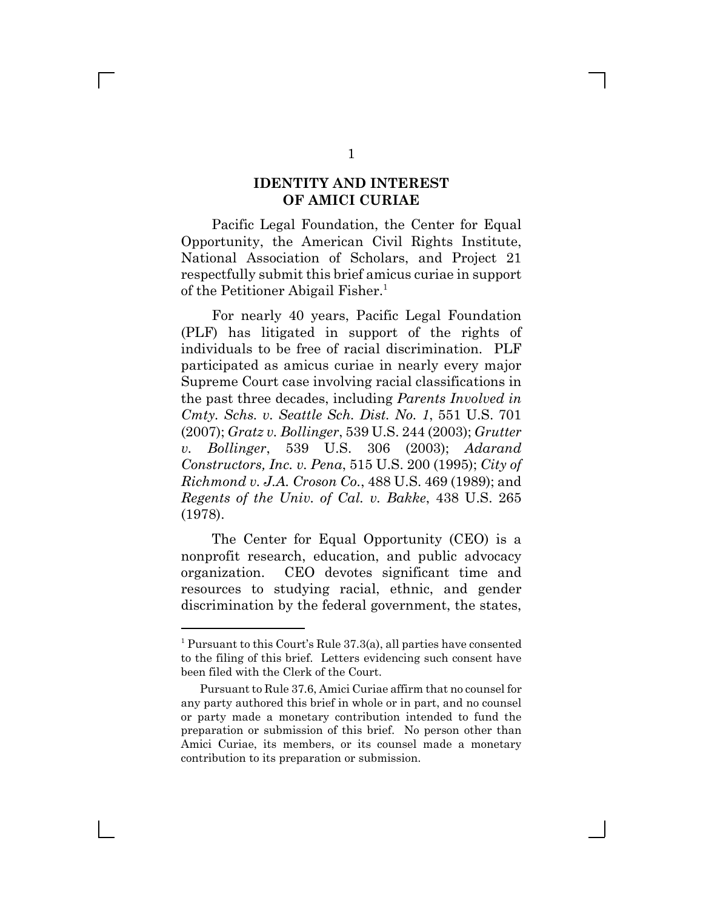### **IDENTITY AND INTEREST OF AMICI CURIAE**

Pacific Legal Foundation, the Center for Equal Opportunity, the American Civil Rights Institute, National Association of Scholars, and Project 21 respectfully submit this brief amicus curiae in support of the Petitioner Abigail Fisher.<sup>1</sup>

For nearly 40 years, Pacific Legal Foundation (PLF) has litigated in support of the rights of individuals to be free of racial discrimination. PLF participated as amicus curiae in nearly every major Supreme Court case involving racial classifications in the past three decades, including *Parents Involved in Cmty. Schs. v. Seattle Sch. Dist. No. 1*, 551 U.S. 701 (2007); *Gratz v. Bollinger*, 539 U.S. 244 (2003); *Grutter v. Bollinger*, 539 U.S. 306 (2003); *Adarand Constructors, Inc. v. Pena*, 515 U.S. 200 (1995); *City of Richmond v. J.A. Croson Co.*, 488 U.S. 469 (1989); and *Regents of the Univ. of Cal. v. Bakke*, 438 U.S. 265 (1978).

The Center for Equal Opportunity (CEO) is a nonprofit research, education, and public advocacy organization. CEO devotes significant time and resources to studying racial, ethnic, and gender discrimination by the federal government, the states,

<sup>&</sup>lt;sup>1</sup> Pursuant to this Court's Rule  $37.3(a)$ , all parties have consented to the filing of this brief. Letters evidencing such consent have been filed with the Clerk of the Court.

Pursuant to Rule 37.6, Amici Curiae affirm that no counsel for any party authored this brief in whole or in part, and no counsel or party made a monetary contribution intended to fund the preparation or submission of this brief. No person other than Amici Curiae, its members, or its counsel made a monetary contribution to its preparation or submission.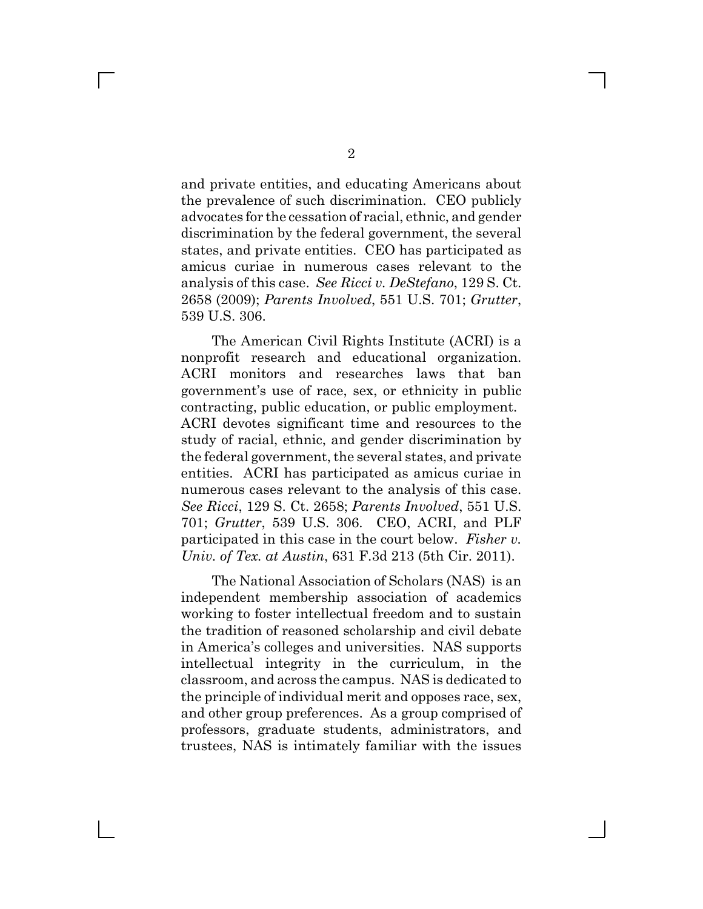and private entities, and educating Americans about the prevalence of such discrimination. CEO publicly advocates for the cessation of racial, ethnic, and gender discrimination by the federal government, the several states, and private entities. CEO has participated as amicus curiae in numerous cases relevant to the analysis of this case. *See Ricci v. DeStefano*, 129 S. Ct. 2658 (2009); *Parents Involved*, 551 U.S. 701; *Grutter*, 539 U.S. 306.

The American Civil Rights Institute (ACRI) is a nonprofit research and educational organization. ACRI monitors and researches laws that ban government's use of race, sex, or ethnicity in public contracting, public education, or public employment. ACRI devotes significant time and resources to the study of racial, ethnic, and gender discrimination by the federal government, the several states, and private entities. ACRI has participated as amicus curiae in numerous cases relevant to the analysis of this case. *See Ricci*, 129 S. Ct. 2658; *Parents Involved*, 551 U.S. 701; *Grutter*, 539 U.S. 306. CEO, ACRI, and PLF participated in this case in the court below. *Fisher v. Univ. of Tex. at Austin*, 631 F.3d 213 (5th Cir. 2011).

The National Association of Scholars (NAS) is an independent membership association of academics working to foster intellectual freedom and to sustain the tradition of reasoned scholarship and civil debate in America's colleges and universities. NAS supports intellectual integrity in the curriculum, in the classroom, and across the campus. NAS is dedicated to the principle of individual merit and opposes race, sex, and other group preferences. As a group comprised of professors, graduate students, administrators, and trustees, NAS is intimately familiar with the issues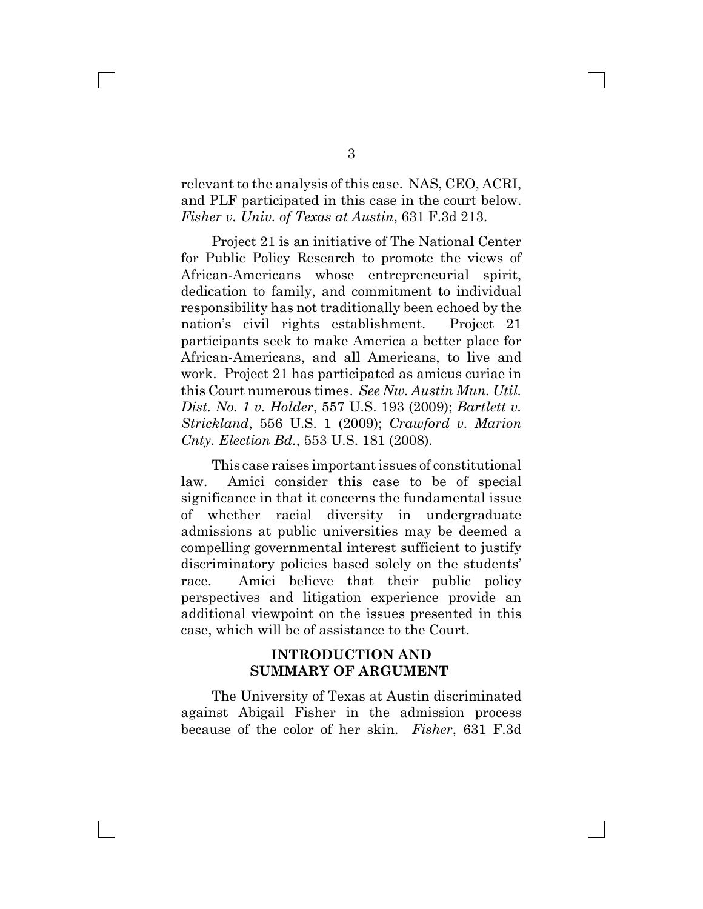relevant to the analysis of this case. NAS, CEO, ACRI, and PLF participated in this case in the court below. *Fisher v. Univ. of Texas at Austin*, 631 F.3d 213.

Project 21 is an initiative of The National Center for Public Policy Research to promote the views of African-Americans whose entrepreneurial spirit, dedication to family, and commitment to individual responsibility has not traditionally been echoed by the nation's civil rights establishment. Project 21 participants seek to make America a better place for African-Americans, and all Americans, to live and work. Project 21 has participated as amicus curiae in this Court numerous times. *See Nw. Austin Mun. Util. Dist. No. 1 v. Holder*, 557 U.S. 193 (2009); *Bartlett v. Strickland*, 556 U.S. 1 (2009); *Crawford v. Marion Cnty. Election Bd.*, 553 U.S. 181 (2008).

This case raises important issues of constitutional law. Amici consider this case to be of special significance in that it concerns the fundamental issue of whether racial diversity in undergraduate admissions at public universities may be deemed a compelling governmental interest sufficient to justify discriminatory policies based solely on the students' race. Amici believe that their public policy perspectives and litigation experience provide an additional viewpoint on the issues presented in this case, which will be of assistance to the Court.

### **INTRODUCTION AND SUMMARY OF ARGUMENT**

The University of Texas at Austin discriminated against Abigail Fisher in the admission process because of the color of her skin. *Fisher*, 631 F.3d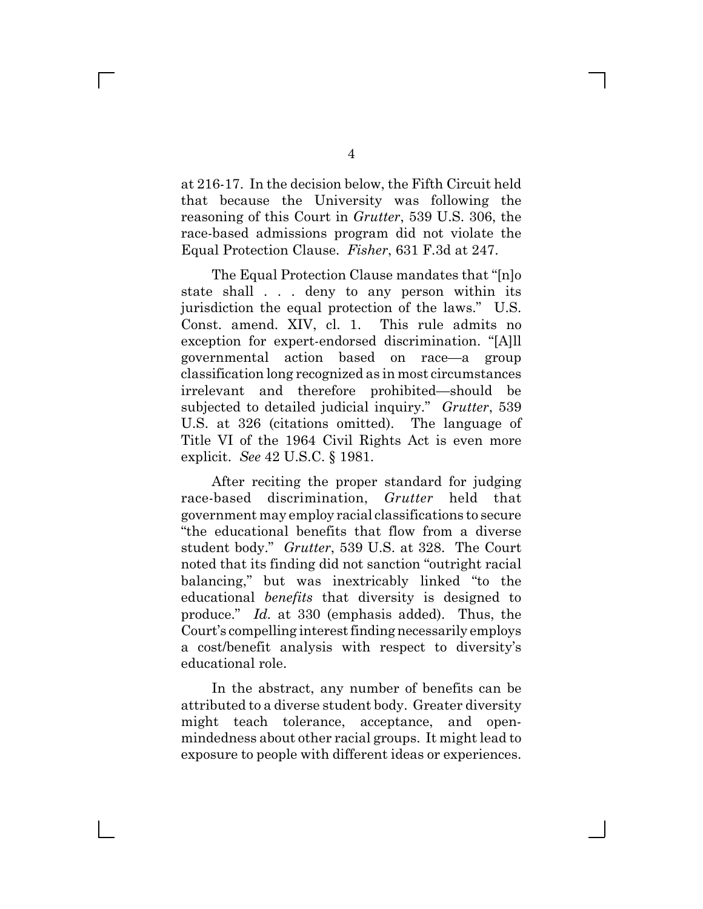at 216-17. In the decision below, the Fifth Circuit held that because the University was following the reasoning of this Court in *Grutter*, 539 U.S. 306, the race-based admissions program did not violate the Equal Protection Clause. *Fisher*, 631 F.3d at 247.

The Equal Protection Clause mandates that "[n]o state shall . . . deny to any person within its jurisdiction the equal protection of the laws." U.S. Const. amend. XIV, cl. 1. This rule admits no exception for expert-endorsed discrimination. "[A]ll governmental action based on race—a group classification long recognized as in most circumstances irrelevant and therefore prohibited-should be subjected to detailed judicial inquiry." *Grutter*, 539 U.S. at 326 (citations omitted). The language of Title VI of the 1964 Civil Rights Act is even more explicit. *See* 42 U.S.C. § 1981.

After reciting the proper standard for judging race-based discrimination, *Grutter* held that government may employ racial classifications to secure "the educational benefits that flow from a diverse student body." *Grutter*, 539 U.S. at 328. The Court noted that its finding did not sanction "outright racial balancing," but was inextricably linked "to the educational *benefits* that diversity is designed to produce." *Id.* at 330 (emphasis added). Thus, the Court's compelling interest finding necessarily employs a cost/benefit analysis with respect to diversity's educational role.

In the abstract, any number of benefits can be attributed to a diverse student body. Greater diversity might teach tolerance, acceptance, and openmindedness about other racial groups. It might lead to exposure to people with different ideas or experiences.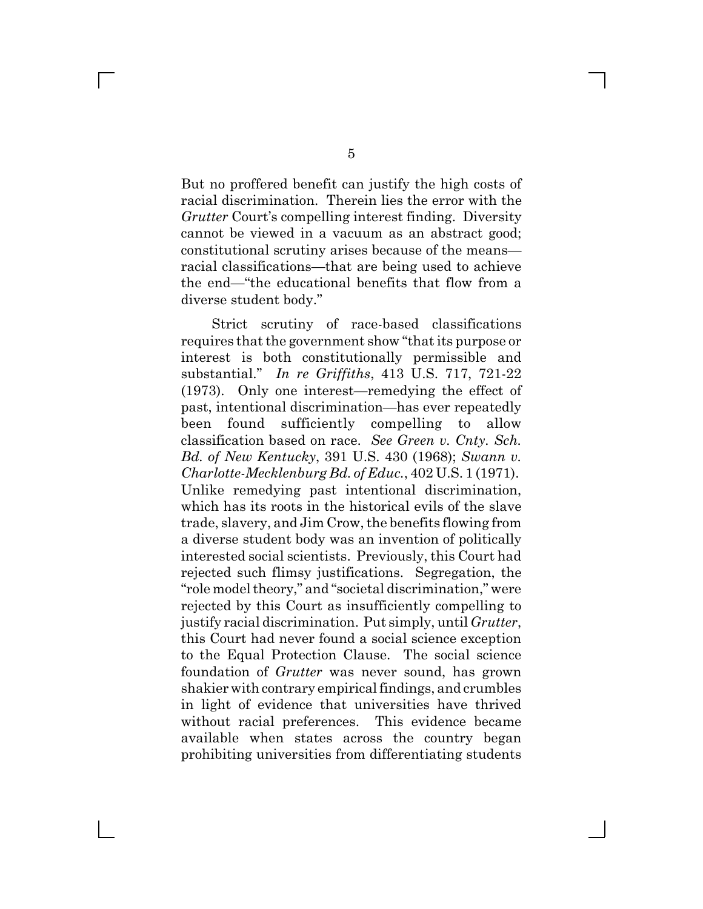But no proffered benefit can justify the high costs of racial discrimination. Therein lies the error with the *Grutter* Court's compelling interest finding. Diversity cannot be viewed in a vacuum as an abstract good; constitutional scrutiny arises because of the means racial classifications—that are being used to achieve the end—"the educational benefits that flow from a diverse student body."

Strict scrutiny of race-based classifications requires that the government show "that its purpose or interest is both constitutionally permissible and substantial.g *In re Griffiths*, 413 U.S. 717, 721-22  $(1973)$ . Only one interest—remedying the effect of past, intentional discrimination—has ever repeatedly been found sufficiently compelling to allow classification based on race. *See Green v. Cnty. Sch. Bd. of New Kentucky*, 391 U.S. 430 (1968); *Swann v. Charlotte-Mecklenburg Bd. of Educ.*, 402 U.S. 1 (1971). Unlike remedying past intentional discrimination, which has its roots in the historical evils of the slave trade, slavery, and Jim Crow, the benefits flowing from a diverse student body was an invention of politically interested social scientists. Previously, this Court had rejected such flimsy justifications. Segregation, the "role model theory," and "societal discrimination," were rejected by this Court as insufficiently compelling to justify racial discrimination. Put simply, until *Grutter*, this Court had never found a social science exception to the Equal Protection Clause. The social science foundation of *Grutter* was never sound, has grown shakier with contrary empirical findings, and crumbles in light of evidence that universities have thrived without racial preferences. This evidence became available when states across the country began prohibiting universities from differentiating students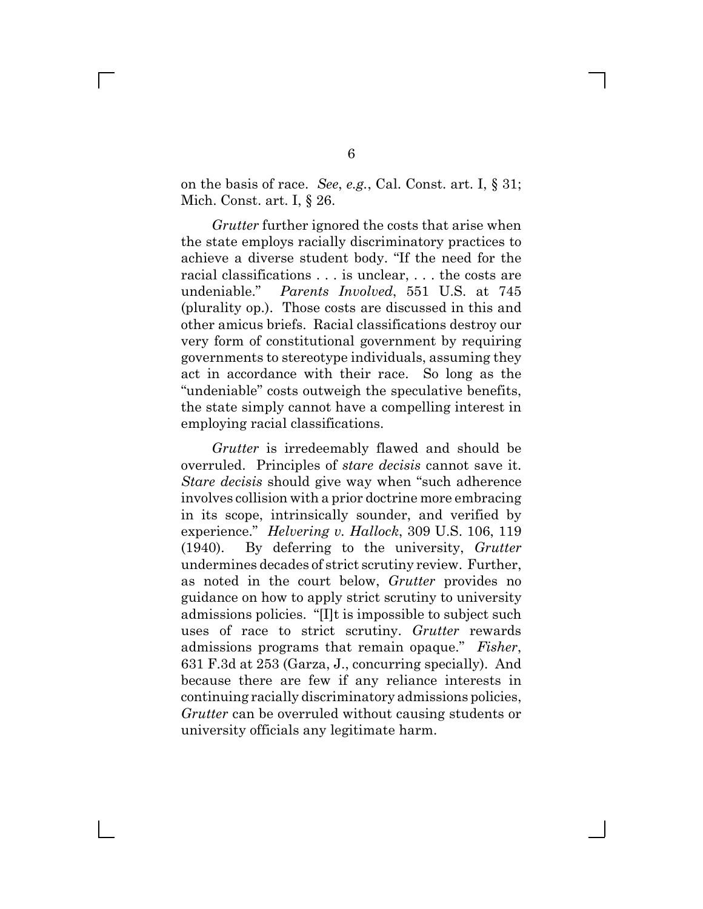on the basis of race. *See*, *e.g.*, Cal. Const. art. I, § 31; Mich. Const. art. I, § 26.

*Grutter* further ignored the costs that arise when the state employs racially discriminatory practices to achieve a diverse student body. "If the need for the racial classifications . . . is unclear, . . . the costs are undeniable." Parents Involved, 551 U.S. at 745 (plurality op.). Those costs are discussed in this and other amicus briefs. Racial classifications destroy our very form of constitutional government by requiring governments to stereotype individuals, assuming they act in accordance with their race. So long as the "undeniable" costs outweigh the speculative benefits, the state simply cannot have a compelling interest in employing racial classifications.

*Grutter* is irredeemably flawed and should be overruled. Principles of *stare decisis* cannot save it. *Stare decisis* should give way when "such adherence" involves collision with a prior doctrine more embracing in its scope, intrinsically sounder, and verified by experience." *Helvering v. Hallock*, 309 U.S. 106, 119 (1940). By deferring to the university, *Grutter* undermines decades of strict scrutiny review. Further, as noted in the court below, *Grutter* provides no guidance on how to apply strict scrutiny to university admissions policies. "[I]t is impossible to subject such uses of race to strict scrutiny. *Grutter* rewards admissions programs that remain opaque." Fisher, 631 F.3d at 253 (Garza, J., concurring specially). And because there are few if any reliance interests in continuing racially discriminatory admissions policies, *Grutter* can be overruled without causing students or university officials any legitimate harm.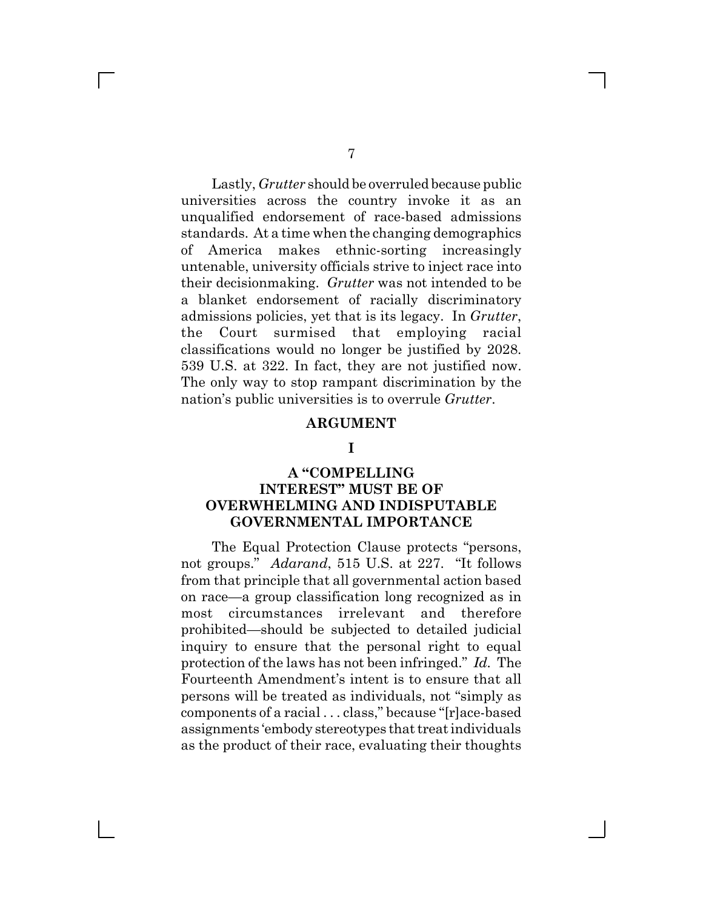Lastly, *Grutter* should be overruled because public universities across the country invoke it as an unqualified endorsement of race-based admissions standards. At a time when the changing demographics of America makes ethnic-sorting increasingly untenable, university officials strive to inject race into their decisionmaking. *Grutter* was not intended to be a blanket endorsement of racially discriminatory admissions policies, yet that is its legacy. In *Grutter*, the Court surmised that employing racial classifications would no longer be justified by 2028. 539 U.S. at 322. In fact, they are not justified now. The only way to stop rampant discrimination by the nation's public universities is to overrule *Grutter*.

#### **ARGUMENT**

#### **I**

### **A** "COMPELLING **INTEREST" MUST BE OF OVERWHELMING AND INDISPUTABLE GOVERNMENTAL IMPORTANCE**

The Equal Protection Clause protects "persons, not groups." Adarand, 515 U.S. at 227. "It follows from that principle that all governmental action based on race—a group classification long recognized as in most circumstances irrelevant and therefore prohibited—should be subjected to detailed judicial inquiry to ensure that the personal right to equal protection of the laws has not been infringed." Id. The Fourteenth Amendment's intent is to ensure that all persons will be treated as individuals, not "simply as components of a racial . . . class," because "[r]ace-based assignments 'embody stereotypes that treat individuals as the product of their race, evaluating their thoughts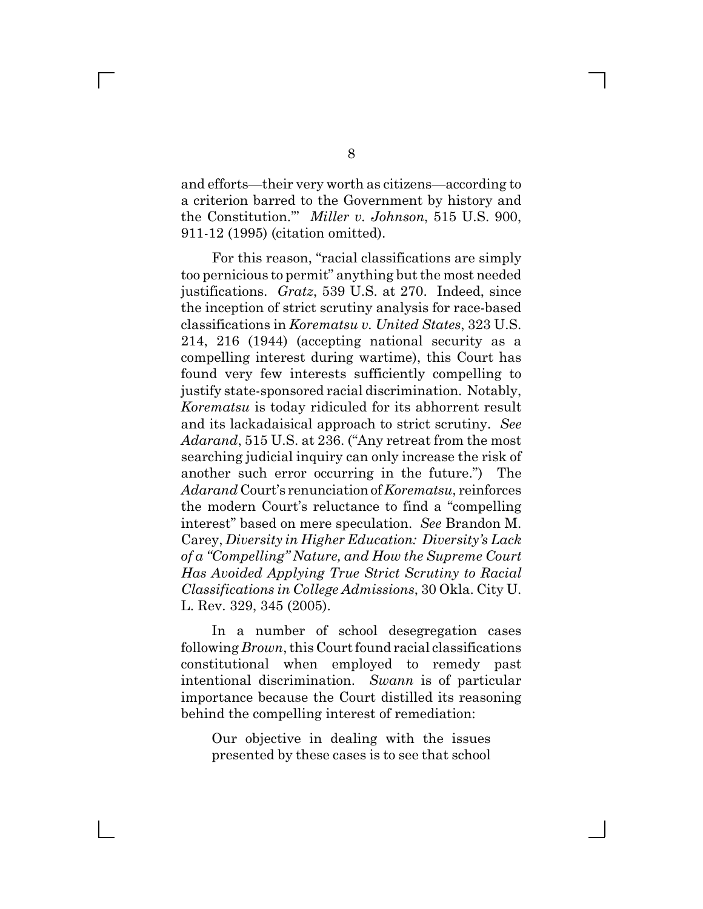and efforts—their very worth as citizens—according to a criterion barred to the Government by history and the Constitution." Miller v. Johnson, 515 U.S. 900, 911-12 (1995) (citation omitted).

For this reason, "racial classifications are simply too pernicious to permit" anything but the most needed justifications. *Gratz*, 539 U.S. at 270. Indeed, since the inception of strict scrutiny analysis for race-based classifications in *Korematsu v. United States*, 323 U.S. 214, 216 (1944) (accepting national security as a compelling interest during wartime), this Court has found very few interests sufficiently compelling to justify state-sponsored racial discrimination. Notably, *Korematsu* is today ridiculed for its abhorrent result and its lackadaisical approach to strict scrutiny. *See* Adarand, 515 U.S. at 236. ("Any retreat from the most searching judicial inquiry can only increase the risk of another such error occurring in the future.") The *Adarand* Court's renunciation of *Korematsu*, reinforces the modern Court's reluctance to find a "compelling" interest" based on mere speculation. *See* Brandon M. Carey, *Diversity in Higher Education: Diversity's Lack of a ZCompelling[ Nature, and How the Supreme Court Has Avoided Applying True Strict Scrutiny to Racial Classifications in College Admissions*, 30 Okla. City U. L. Rev. 329, 345 (2005).

In a number of school desegregation cases following *Brown*, this Court found racial classifications constitutional when employed to remedy past intentional discrimination. *Swann* is of particular importance because the Court distilled its reasoning behind the compelling interest of remediation:

Our objective in dealing with the issues presented by these cases is to see that school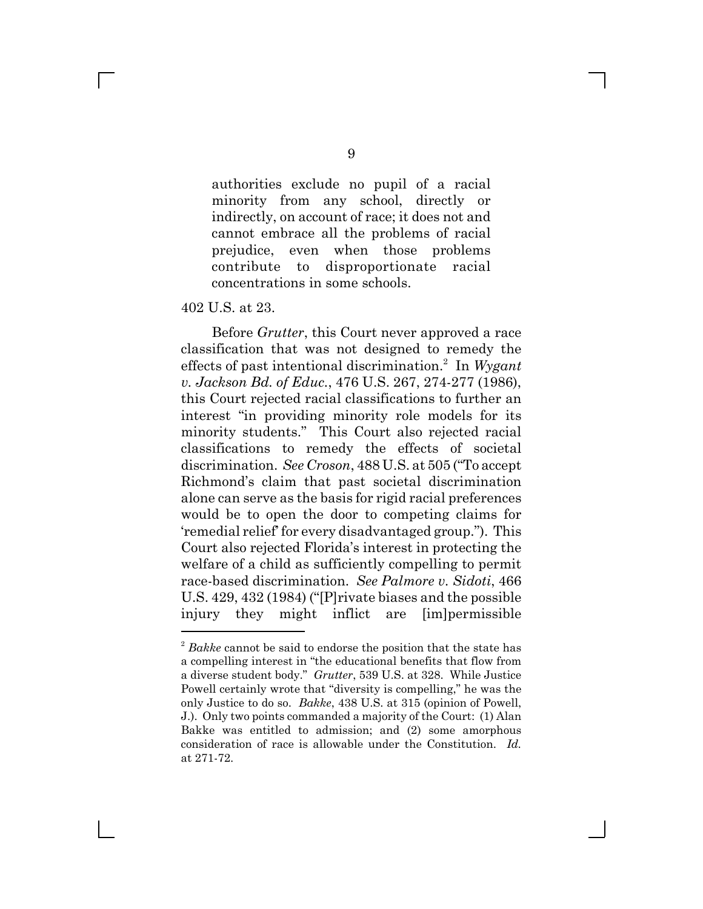authorities exclude no pupil of a racial minority from any school, directly or indirectly, on account of race; it does not and cannot embrace all the problems of racial prejudice, even when those problems contribute to disproportionate racial concentrations in some schools.

402 U.S. at 23.

 $\mathbf{L}$ 

Before *Grutter*, this Court never approved a race classification that was not designed to remedy the effects of past intentional discrimination.2 In *Wygant v. Jackson Bd. of Educ.*, 476 U.S. 267, 274-277 (1986), this Court rejected racial classifications to further an interest "in providing minority role models for its minority students." This Court also rejected racial classifications to remedy the effects of societal discrimination. *See Croson*, 488 U.S. at 505 ("To accept" Richmond's claim that past societal discrimination alone can serve as the basis for rigid racial preferences would be to open the door to competing claims for 'remedial relief' for every disadvantaged group."). This Court also rejected Florida's interest in protecting the welfare of a child as sufficiently compelling to permit race-based discrimination. *See Palmore v. Sidoti*, 466 U.S.  $429, 432$  (1984) ("[P]rivate biases and the possible injury they might inflict are [im]permissible

<sup>2</sup> *Bakke* cannot be said to endorse the position that the state has a compelling interest in "the educational benefits that flow from a diverse student body." *Grutter*, 539 U.S. at 328. While Justice Powell certainly wrote that "diversity is compelling," he was the only Justice to do so. *Bakke*, 438 U.S. at 315 (opinion of Powell, J.). Only two points commanded a majority of the Court: (1) Alan Bakke was entitled to admission; and (2) some amorphous consideration of race is allowable under the Constitution. *Id.* at 271-72.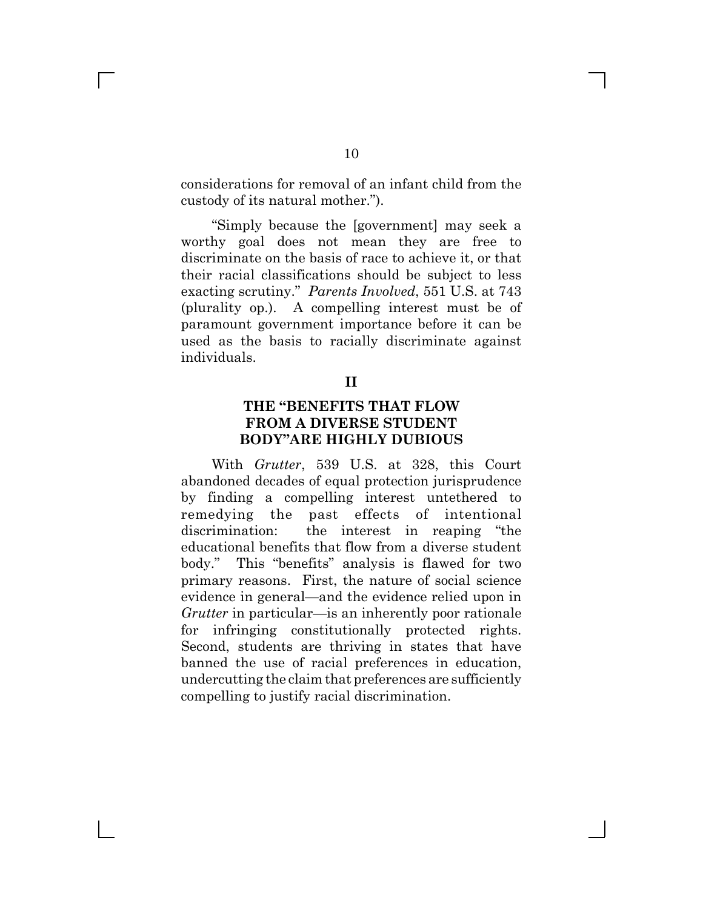considerations for removal of an infant child from the custody of its natural mother.").

fSimply because the [government] may seek a worthy goal does not mean they are free to discriminate on the basis of race to achieve it, or that their racial classifications should be subject to less exacting scrutiny." *Parents Involved*, 551 U.S. at 743 (plurality op.). A compelling interest must be of paramount government importance before it can be used as the basis to racially discriminate against individuals.

#### **II**

### **THE MBENEFITS THAT FLOW FROM A DIVERSE STUDENT BODY"ARE HIGHLY DUBIOUS**

With *Grutter*, 539 U.S. at 328, this Court abandoned decades of equal protection jurisprudence by finding a compelling interest untethered to remedying the past effects of intentional discrimination: the interest in reaping "the educational benefits that flow from a diverse student body." This "benefits" analysis is flawed for two primary reasons. First, the nature of social science evidence in general—and the evidence relied upon in *Grutter* in particular—is an inherently poor rationale for infringing constitutionally protected rights. Second, students are thriving in states that have banned the use of racial preferences in education, undercutting the claim that preferences are sufficiently compelling to justify racial discrimination.

 $\mathbb{R}^n$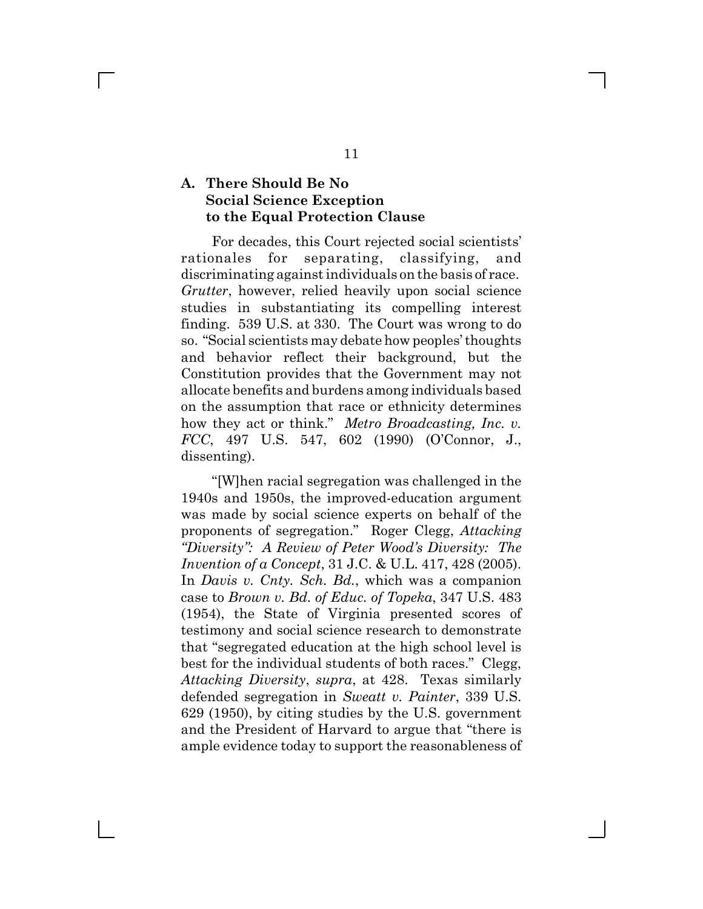### **A. There Should Be No Social Science Exception to the Equal Protection Clause**

 $\mathbf{L}$ 

For decades, this Court rejected social scientists' rationales for separating, classifying, and discriminating against individuals on the basis of race. *Grutter*, however, relied heavily upon social science studies in substantiating its compelling interest finding. 539 U.S. at 330. The Court was wrong to do so. "Social scientists may debate how peoples' thoughts and behavior reflect their background, but the Constitution provides that the Government may not allocate benefits and burdens among individuals based on the assumption that race or ethnicity determines how they act or think." Metro Broadcasting, Inc. v. *FCC*, 497 U.S. 547, 602 (1990) (O'Connor, J., dissenting).

f[W]hen racial segregation was challenged in the 1940s and 1950s, the improved-education argument was made by social science experts on behalf of the proponents of segregation." Roger Clegg, *Attacking <sup><i>ZDiversity*": A Review of Peter Wood's Diversity: The</sup> *Invention of a Concept*, 31 J.C. & U.L. 417, 428 (2005). In *Davis v. Cnty. Sch. Bd.*, which was a companion case to *Brown v. Bd. of Educ. of Topeka*, 347 U.S. 483 (1954), the State of Virginia presented scores of testimony and social science research to demonstrate that "segregated education at the high school level is best for the individual students of both races." Clegg, *Attacking Diversity*, *supra*, at 428. Texas similarly defended segregation in *Sweatt v. Painter*, 339 U.S. 629 (1950), by citing studies by the U.S. government and the President of Harvard to argue that "there is ample evidence today to support the reasonableness of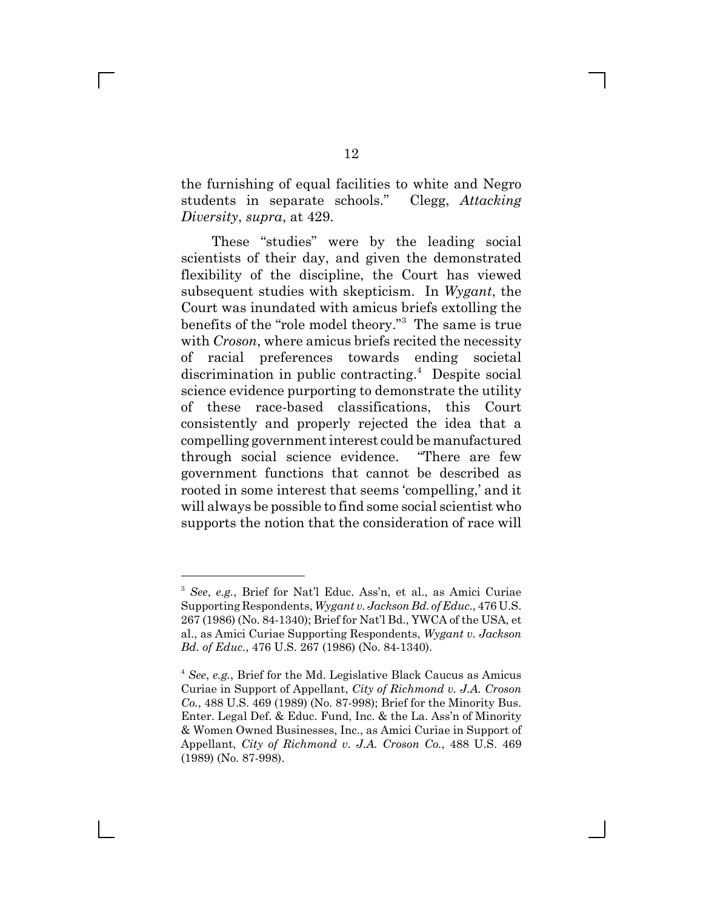the furnishing of equal facilities to white and Negro students in separate schools." Clegg, *Attacking Diversity*, *supra*, at 429.

These "studies" were by the leading social scientists of their day, and given the demonstrated flexibility of the discipline, the Court has viewed subsequent studies with skepticism. In *Wygant*, the Court was inundated with amicus briefs extolling the benefits of the "role model theory."<sup>3</sup> The same is true with *Croson*, where amicus briefs recited the necessity of racial preferences towards ending societal discrimination in public contracting.<sup>4</sup> Despite social science evidence purporting to demonstrate the utility of these race-based classifications, this Court consistently and properly rejected the idea that a compelling government interest could be manufactured through social science evidence. "There are few government functions that cannot be described as rooted in some interest that seems 'compelling,' and it will always be possible to find some social scientist who supports the notion that the consideration of race will

<sup>&</sup>lt;sup>3</sup> See, e.g., Brief for Nat'l Educ. Ass'n, et al., as Amici Curiae Supporting Respondents, *Wygant v. Jackson Bd. of Educ.*, 476 U.S. 267 (1986) (No. 84-1340); Brief for Nat'l Bd., YWCA of the USA, et al., as Amici Curiae Supporting Respondents, *Wygant v. Jackson Bd. of Educ.*, 476 U.S. 267 (1986) (No. 84-1340).

<sup>4</sup> *See*, *e.g.*, Brief for the Md. Legislative Black Caucus as Amicus Curiae in Support of Appellant, *City of Richmond v. J.A. Croson Co.*, 488 U.S. 469 (1989) (No. 87-998); Brief for the Minority Bus. Enter. Legal Def. & Educ. Fund, Inc. & the La. Ass'n of Minority & Women Owned Businesses, Inc., as Amici Curiae in Support of Appellant, *City of Richmond v. J.A. Croson Co.*, 488 U.S. 469 (1989) (No. 87-998).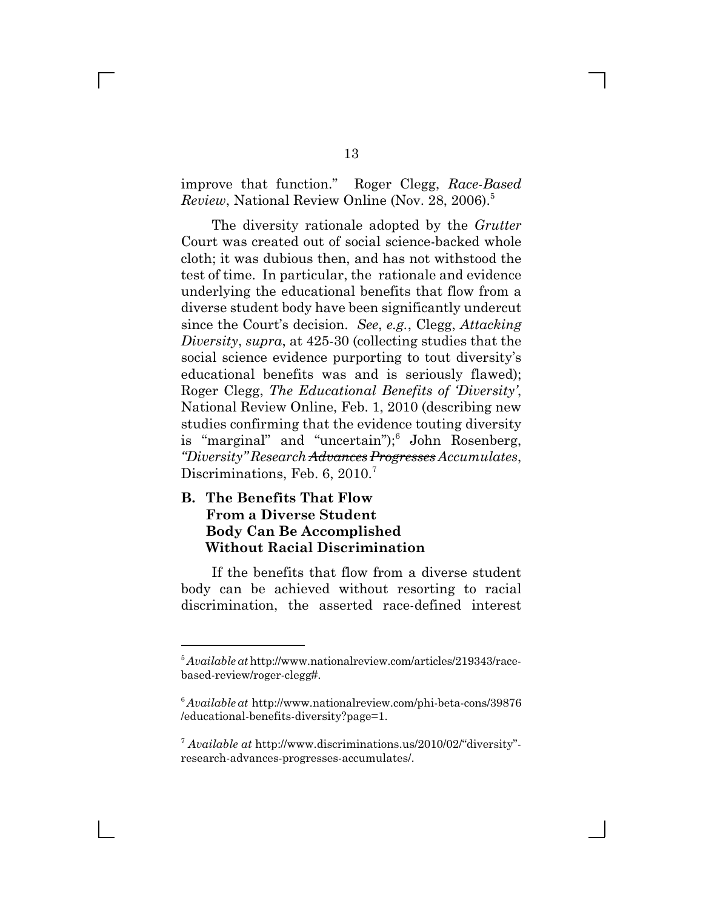improve that function." Roger Clegg, *Race-Based Review*, National Review Online (Nov. 28, 2006).<sup>5</sup>

The diversity rationale adopted by the *Grutter* Court was created out of social science-backed whole cloth; it was dubious then, and has not withstood the test of time. In particular, the rationale and evidence underlying the educational benefits that flow from a diverse student body have been significantly undercut since the Court's decision. *See*, *e.g.*, Clegg, *Attacking Diversity*, *supra*, at 425-30 (collecting studies that the social science evidence purporting to tout diversity's educational benefits was and is seriously flawed); Roger Clegg, *The Educational Benefits of Diversity*', National Review Online, Feb. 1, 2010 (describing new studies confirming that the evidence touting diversity is "marginal" and "uncertain"); John Rosenberg, *ZDiversity[ Research Advances Progresses Accumulates*, Discriminations, Feb. 6, 2010.<sup>7</sup>

### **B. The Benefits That Flow From a Diverse Student Body Can Be Accomplished Without Racial Discrimination**

If the benefits that flow from a diverse student body can be achieved without resorting to racial discrimination, the asserted race-defined interest

<sup>5</sup> *Available at* http://www.nationalreview.com/articles/219343/racebased-review/roger-clegg#.

<sup>6</sup> *Available at* http://www.nationalreview.com/phi-beta-cons/39876 /educational-benefits-diversity?page=1.

 $\frac{7}{7}$  *Available at* http://www.discriminations.us/2010/02/"diversity" research-advances-progresses-accumulates/.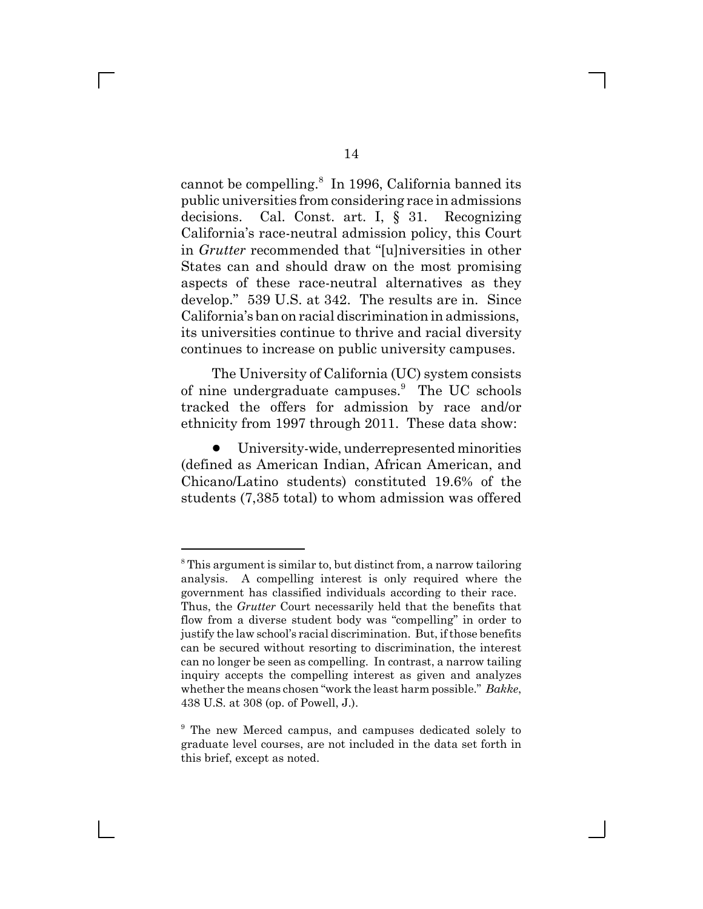cannot be compelling.<sup>8</sup> In 1996, California banned its public universities from considering race in admissions decisions. Cal. Const. art. I, § 31. Recognizing California's race-neutral admission policy, this Court in *Grutter* recommended that "[u]niversities in other States can and should draw on the most promising aspects of these race-neutral alternatives as they develop." 539 U.S. at 342. The results are in. Since California's ban on racial discrimination in admissions, its universities continue to thrive and racial diversity continues to increase on public university campuses.

The University of California (UC) system consists of nine undergraduate campuses.<sup>9</sup> The UC schools tracked the offers for admission by race and/or ethnicity from 1997 through 2011. These data show:

! University-wide, underrepresented minorities (defined as American Indian, African American, and Chicano/Latino students) constituted 19.6% of the students (7,385 total) to whom admission was offered

<sup>&</sup>lt;sup>8</sup> This argument is similar to, but distinct from, a narrow tailoring analysis. A compelling interest is only required where the government has classified individuals according to their race. Thus, the *Grutter* Court necessarily held that the benefits that flow from a diverse student body was "compelling" in order to justify the law school's racial discrimination. But, if those benefits can be secured without resorting to discrimination, the interest can no longer be seen as compelling. In contrast, a narrow tailing inquiry accepts the compelling interest as given and analyzes whether the means chosen "work the least harm possible." Bakke, 438 U.S. at 308 (op. of Powell, J.).

<sup>&</sup>lt;sup>9</sup> The new Merced campus, and campuses dedicated solely to graduate level courses, are not included in the data set forth in this brief, except as noted.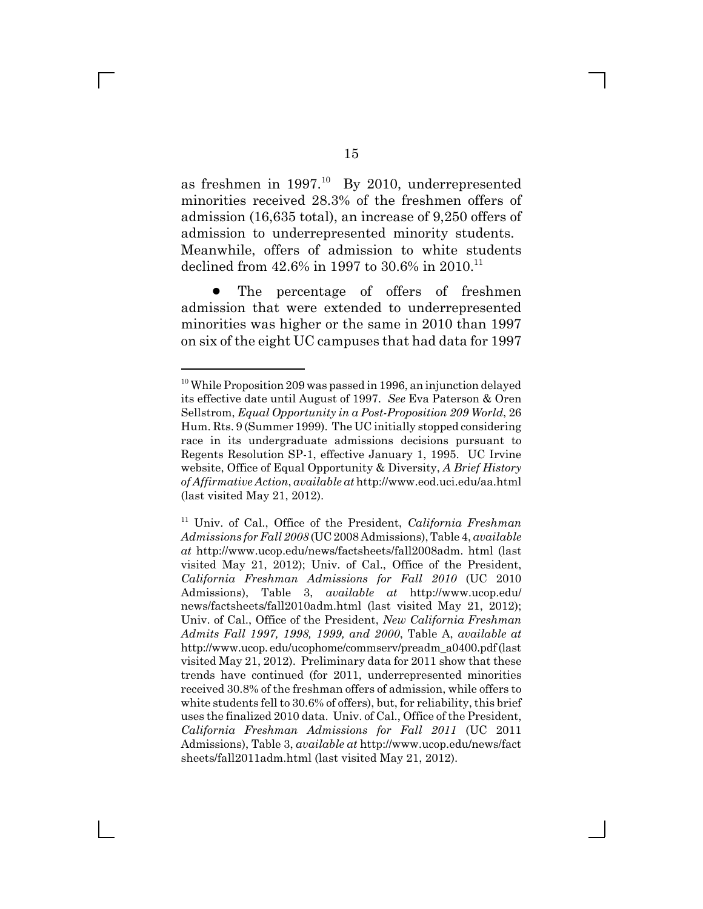as freshmen in  $1997<sup>10</sup>$  By 2010, underrepresented minorities received 28.3% of the freshmen offers of admission (16,635 total), an increase of 9,250 offers of admission to underrepresented minority students. Meanwhile, offers of admission to white students declined from  $42.6\%$  in 1997 to 30.6% in 2010.<sup>11</sup>

• The percentage of offers of freshmen admission that were extended to underrepresented minorities was higher or the same in 2010 than 1997 on six of the eight UC campuses that had data for 1997

 $10$  While Proposition 209 was passed in 1996, an injunction delayed its effective date until August of 1997. *See* Eva Paterson & Oren Sellstrom, *Equal Opportunity in a Post-Proposition 209 World*, 26 Hum. Rts. 9 (Summer 1999). The UC initially stopped considering race in its undergraduate admissions decisions pursuant to Regents Resolution SP-1, effective January 1, 1995. UC Irvine website, Office of Equal Opportunity & Diversity, *A Brief History of Affirmative Action*, *available at* http://www.eod.uci.edu/aa.html (last visited May 21, 2012).

<sup>11</sup> Univ. of Cal., Office of the President, *California Freshman Admissions for Fall 2008* (UC 2008 Admissions), Table 4, *available at* http://www.ucop.edu/news/factsheets/fall2008adm. html (last visited May 21, 2012); Univ. of Cal., Office of the President, *California Freshman Admissions for Fall 2010* (UC 2010 Admissions), Table 3, *available at* http://www.ucop.edu/ news/factsheets/fall2010adm.html (last visited May 21, 2012); Univ. of Cal., Office of the President, *New California Freshman Admits Fall 1997, 1998, 1999, and 2000*, Table A, *available at* http://www.ucop. edu/ucophome/commserv/preadm\_a0400.pdf (last visited May 21, 2012). Preliminary data for 2011 show that these trends have continued (for 2011, underrepresented minorities received 30.8% of the freshman offers of admission, while offers to white students fell to 30.6% of offers), but, for reliability, this brief uses the finalized 2010 data. Univ. of Cal., Office of the President, *California Freshman Admissions for Fall 2011* (UC 2011 Admissions), Table 3, *available at* http://www.ucop.edu/news/fact sheets/fall2011adm.html (last visited May 21, 2012).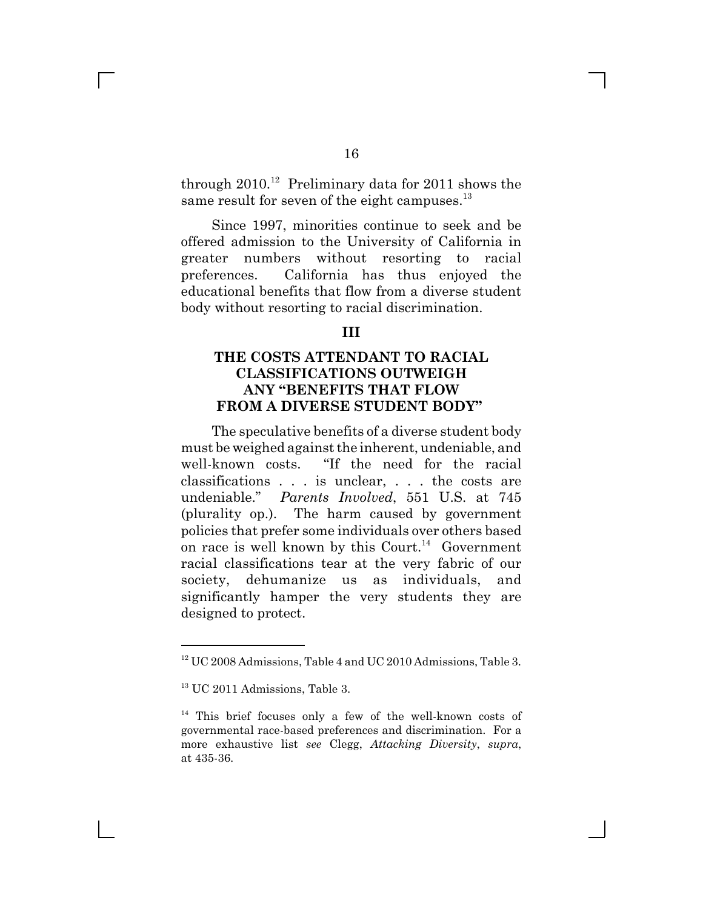through  $2010^{12}$  Preliminary data for 2011 shows the same result for seven of the eight campuses. $^{13}$ 

Since 1997, minorities continue to seek and be offered admission to the University of California in greater numbers without resorting to racial preferences. California has thus enjoyed the educational benefits that flow from a diverse student body without resorting to racial discrimination.

#### **III**

### **THE COSTS ATTENDANT TO RACIAL CLASSIFICATIONS OUTWEIGH ANY MBENEFITS THAT FLOW FROM A DIVERSE STUDENT BODY"**

The speculative benefits of a diverse student body must be weighed against the inherent, undeniable, and well-known costs. "If the need for the racial classifications . . . is unclear, . . . the costs are undeniable." Parents Involved, 551 U.S. at 745 (plurality op.). The harm caused by government policies that prefer some individuals over others based on race is well known by this Court.<sup>14</sup> Government racial classifications tear at the very fabric of our society, dehumanize us as individuals, and significantly hamper the very students they are designed to protect.

<sup>&</sup>lt;sup>12</sup> UC 2008 Admissions, Table 4 and UC 2010 Admissions, Table 3.

<sup>&</sup>lt;sup>13</sup> UC 2011 Admissions, Table 3.

<sup>&</sup>lt;sup>14</sup> This brief focuses only a few of the well-known costs of governmental race-based preferences and discrimination. For a more exhaustive list *see* Clegg, *Attacking Diversity*, *supra*, at 435-36.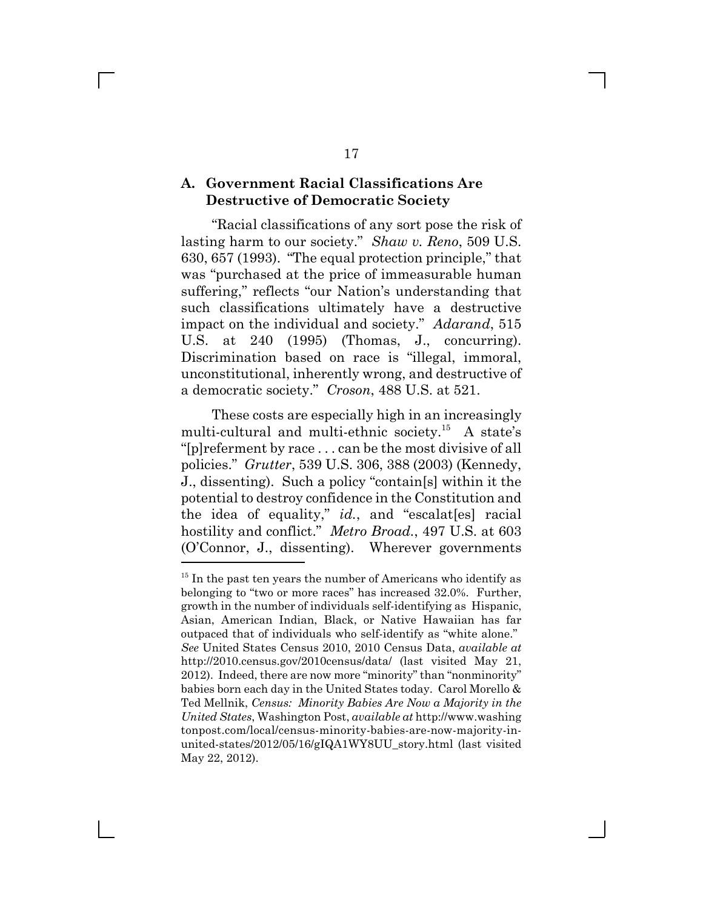#### **A. Government Racial Classifications Are Destructive of Democratic Society**

fRacial classifications of any sort pose the risk of lasting harm to our society." Shaw v. Reno, 509 U.S. 630, 657 (1993). "The equal protection principle," that was "purchased at the price of immeasurable human suffering," reflects "our Nation's understanding that such classifications ultimately have a destructive impact on the individual and society." *Adarand*, 515 U.S. at 240 (1995) (Thomas, J., concurring). Discrimination based on race is "illegal, immoral, unconstitutional, inherently wrong, and destructive of a democratic society." Croson, 488 U.S. at 521.

These costs are especially high in an increasingly multi-cultural and multi-ethnic society.<sup>15</sup> A state's " $[p]$ referment by race ... can be the most divisive of all policies." *Grutter*, 539 U.S. 306, 388 (2003) (Kennedy, J., dissenting). Such a policy "contain[s] within it the potential to destroy confidence in the Constitution and the idea of equality," id., and "escalat[es] racial hostility and conflict." Metro Broad., 497 U.S. at 603 (O'Connor, J., dissenting). Wherever governments

<sup>&</sup>lt;sup>15</sup> In the past ten years the number of Americans who identify as belonging to "two or more races" has increased 32.0%. Further, growth in the number of individuals self-identifying as Hispanic, Asian, American Indian, Black, or Native Hawaiian has far outpaced that of individuals who self-identify as "white alone." *See* United States Census 2010, 2010 Census Data, *available at* http://2010.census.gov/2010census/data/ (last visited May 21, 2012). Indeed, there are now more "minority" than "nonminority" babies born each day in the United States today. Carol Morello & Ted Mellnik, *Census: Minority Babies Are Now a Majority in the United States*, Washington Post, *available at* http://www.washing tonpost.com/local/census-minority-babies-are-now-majority-inunited-states/2012/05/16/gIQA1WY8UU\_story.html (last visited May 22, 2012).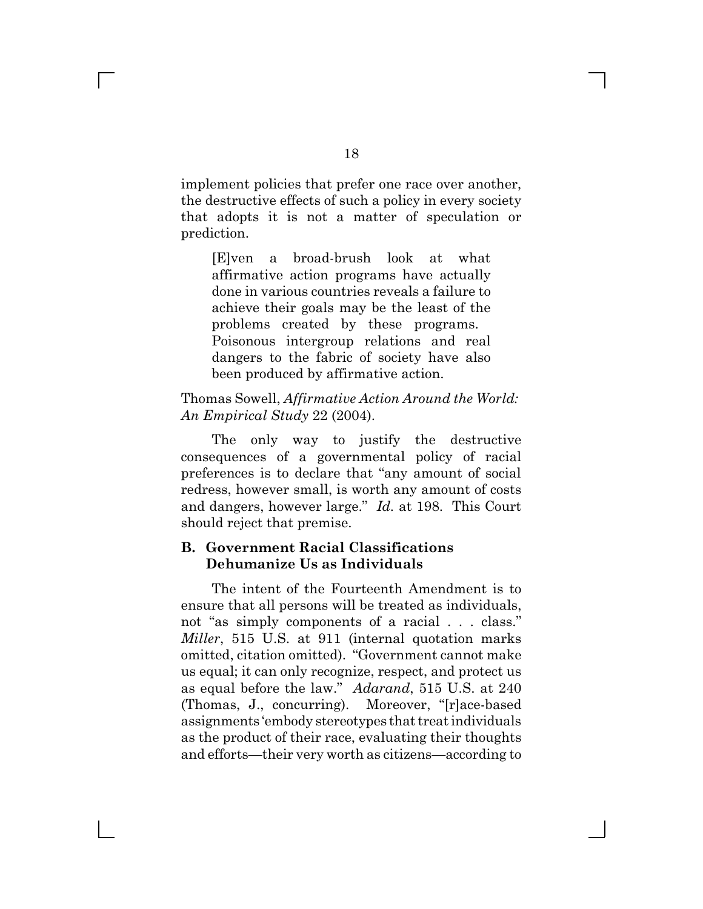implement policies that prefer one race over another, the destructive effects of such a policy in every society that adopts it is not a matter of speculation or prediction.

[E]ven a broad-brush look at what affirmative action programs have actually done in various countries reveals a failure to achieve their goals may be the least of the problems created by these programs. Poisonous intergroup relations and real dangers to the fabric of society have also been produced by affirmative action.

### Thomas Sowell, *Affirmative Action Around the World: An Empirical Study* 22 (2004).

The only way to justify the destructive consequences of a governmental policy of racial preferences is to declare that "any amount of social redress, however small, is worth any amount of costs and dangers, however large." *Id.* at 198. This Court should reject that premise.

#### **B. Government Racial Classifications Dehumanize Us as Individuals**

The intent of the Fourteenth Amendment is to ensure that all persons will be treated as individuals, not "as simply components of a racial . . . class." *Miller*, 515 U.S. at 911 (internal quotation marks omitted, citation omitted). "Government cannot make us equal; it can only recognize, respect, and protect us as equal before the law.g *Adarand*, 515 U.S. at 240 (Thomas, J., concurring). Moreover, "[r]ace-based assignments 'embody stereotypes that treat individuals as the product of their race, evaluating their thoughts and efforts—their very worth as citizens—according to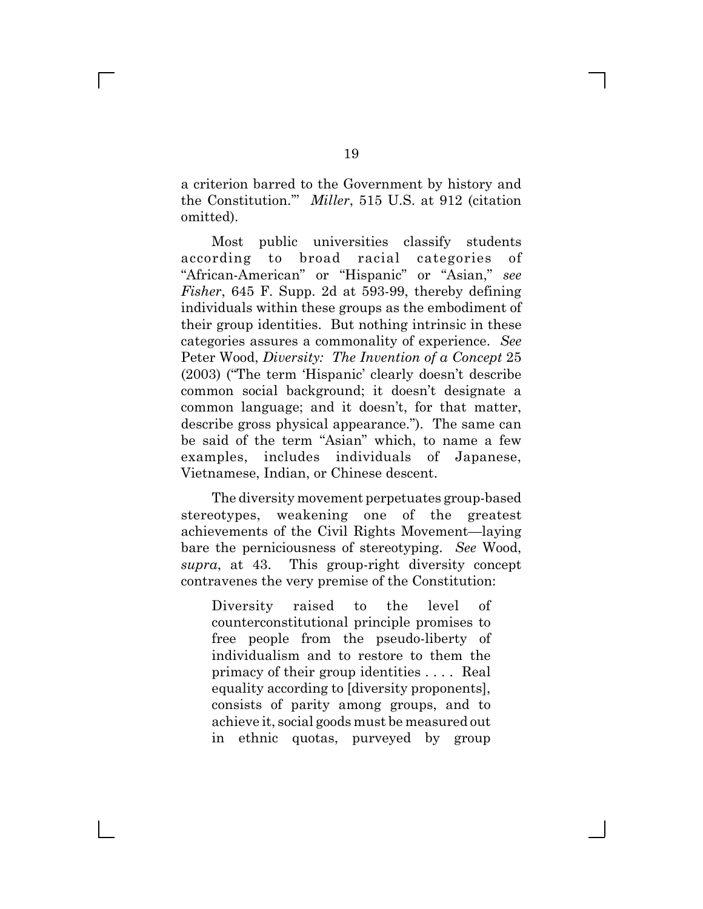a criterion barred to the Government by history and the Constitution." Miller, 515 U.S. at 912 (citation omitted).

Most public universities classify students according to broad racial categories of "African-American" or "Hispanic" or "Asian," see *Fisher*, 645 F. Supp. 2d at 593-99, thereby defining individuals within these groups as the embodiment of their group identities. But nothing intrinsic in these categories assures a commonality of experience. *See* Peter Wood, *Diversity: The Invention of a Concept* 25  $(2003)$  ("The term 'Hispanic' clearly doesn't describe common social background; it doesn't designate a common language; and it doesn't, for that matter, describe gross physical appearance."). The same can be said of the term "Asian" which, to name a few examples, includes individuals of Japanese, Vietnamese, Indian, or Chinese descent.

The diversity movement perpetuates group-based stereotypes, weakening one of the greatest achievements of the Civil Rights Movement—laying bare the perniciousness of stereotyping. *See* Wood, *supra*, at 43. This group-right diversity concept contravenes the very premise of the Constitution:

Diversity raised to the level of counterconstitutional principle promises to free people from the pseudo-liberty of individualism and to restore to them the primacy of their group identities . . . . Real equality according to [diversity proponents], consists of parity among groups, and to achieve it, social goods must be measured out in ethnic quotas, purveyed by group

 $\mathbf{I}$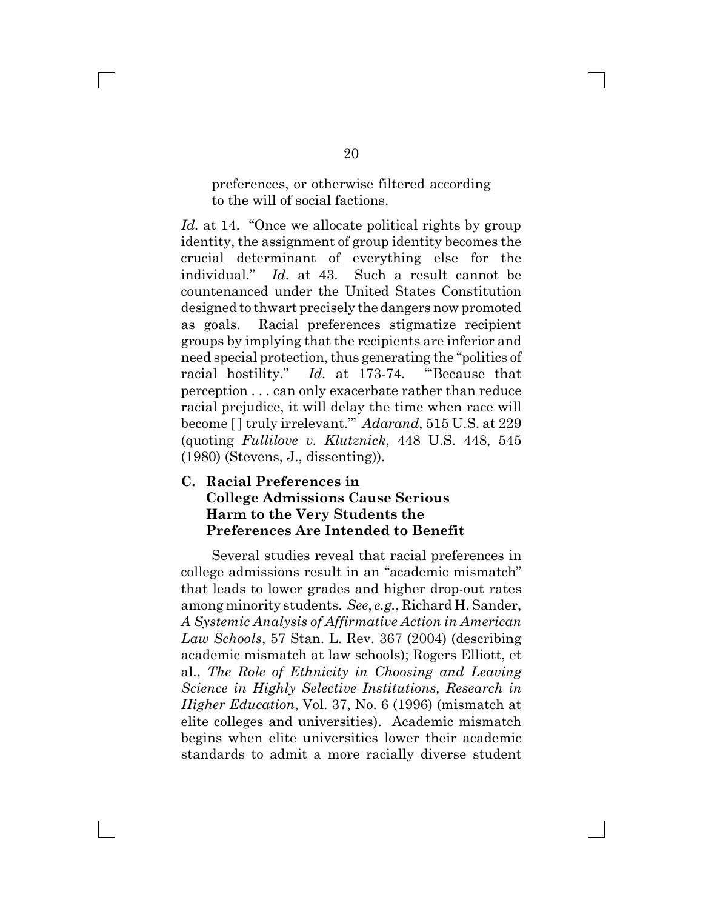preferences, or otherwise filtered according to the will of social factions.

*Id.* at 14. "Once we allocate political rights by group identity, the assignment of group identity becomes the crucial determinant of everything else for the individual." *Id.* at 43. Such a result cannot be countenanced under the United States Constitution designed to thwart precisely the dangers now promoted as goals. Racial preferences stigmatize recipient groups by implying that the recipients are inferior and need special protection, thus generating the "politics of racial hostility." *Id.* at 173-74. "Because that perception . . . can only exacerbate rather than reduce racial prejudice, it will delay the time when race will become [] truly irrelevant." Adarand, 515 U.S. at 229 (quoting *Fullilove v. Klutznick*, 448 U.S. 448, 545 (1980) (Stevens, J., dissenting)).

### **C. Racial Preferences in College Admissions Cause Serious Harm to the Very Students the Preferences Are Intended to Benefit**

Several studies reveal that racial preferences in college admissions result in an "academic mismatch" that leads to lower grades and higher drop-out rates among minority students. *See*, *e.g.*, Richard H. Sander, *A Systemic Analysis of Affirmative Action in American Law Schools*, 57 Stan. L. Rev. 367 (2004) (describing academic mismatch at law schools); Rogers Elliott, et al., *The Role of Ethnicity in Choosing and Leaving Science in Highly Selective Institutions, Research in Higher Education*, Vol. 37, No. 6 (1996) (mismatch at elite colleges and universities). Academic mismatch begins when elite universities lower their academic standards to admit a more racially diverse student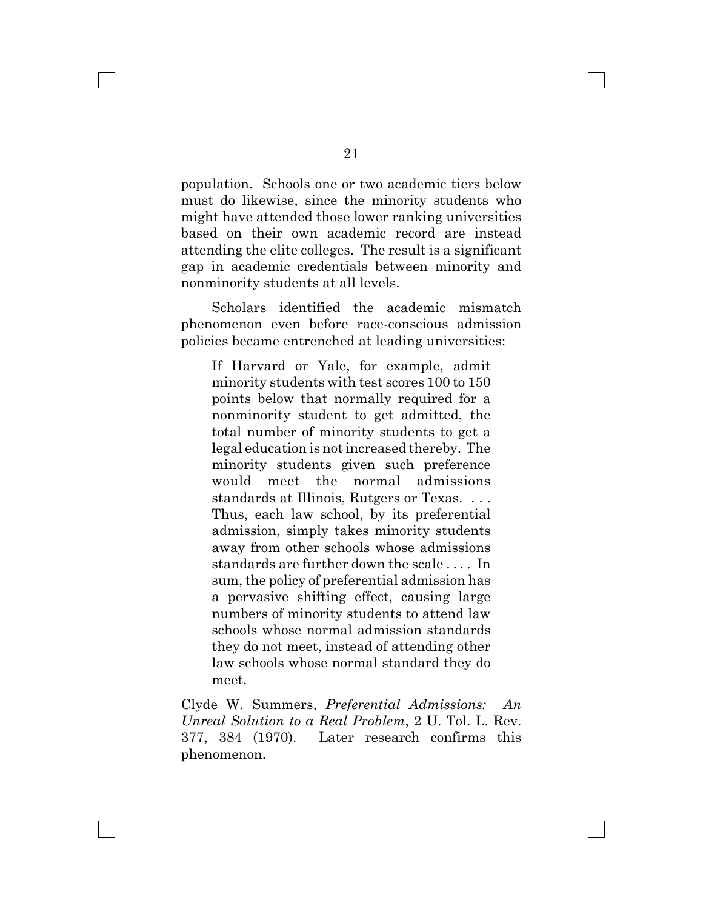population. Schools one or two academic tiers below must do likewise, since the minority students who might have attended those lower ranking universities based on their own academic record are instead attending the elite colleges. The result is a significant gap in academic credentials between minority and nonminority students at all levels.

Scholars identified the academic mismatch phenomenon even before race-conscious admission policies became entrenched at leading universities:

If Harvard or Yale, for example, admit minority students with test scores 100 to 150 points below that normally required for a nonminority student to get admitted, the total number of minority students to get a legal education is not increased thereby. The minority students given such preference would meet the normal admissions standards at Illinois, Rutgers or Texas. . . . Thus, each law school, by its preferential admission, simply takes minority students away from other schools whose admissions standards are further down the scale . . . . In sum, the policy of preferential admission has a pervasive shifting effect, causing large numbers of minority students to attend law schools whose normal admission standards they do not meet, instead of attending other law schools whose normal standard they do meet.

Clyde W. Summers, *Preferential Admissions: An Unreal Solution to a Real Problem*, 2 U. Tol. L. Rev. 377, 384 (1970). Later research confirms this phenomenon.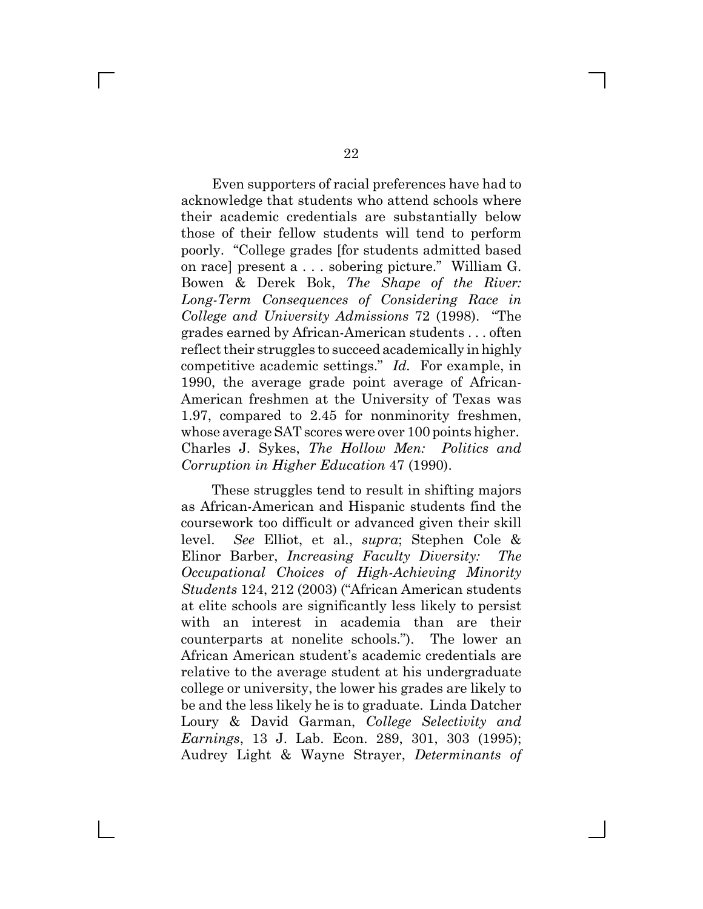Even supporters of racial preferences have had to acknowledge that students who attend schools where their academic credentials are substantially below those of their fellow students will tend to perform poorly. "College grades [for students admitted based] on race] present  $a \dots$  sobering picture." William G. Bowen & Derek Bok, *The Shape of the River: Long-Term Consequences of Considering Race in College and University Admissions* 72 (1998). "The grades earned by African-American students . . . often reflect their struggles to succeed academically in highly competitive academic settings." *Id.* For example, in 1990, the average grade point average of African-American freshmen at the University of Texas was 1.97, compared to 2.45 for nonminority freshmen, whose average SAT scores were over 100 points higher. Charles J. Sykes, *The Hollow Men: Politics and Corruption in Higher Education* 47 (1990).

These struggles tend to result in shifting majors as African-American and Hispanic students find the coursework too difficult or advanced given their skill level. *See* Elliot, et al., *supra*; Stephen Cole & Elinor Barber, *Increasing Faculty Diversity: The Occupational Choices of High-Achieving Minority Students* 124, 212 (2003) ("African American students at elite schools are significantly less likely to persist with an interest in academia than are their counterparts at nonelite schools."). The lower an African American student's academic credentials are relative to the average student at his undergraduate college or university, the lower his grades are likely to be and the less likely he is to graduate. Linda Datcher Loury & David Garman, *College Selectivity and Earnings*, 13 J. Lab. Econ. 289, 301, 303 (1995); Audrey Light & Wayne Strayer, *Determinants of*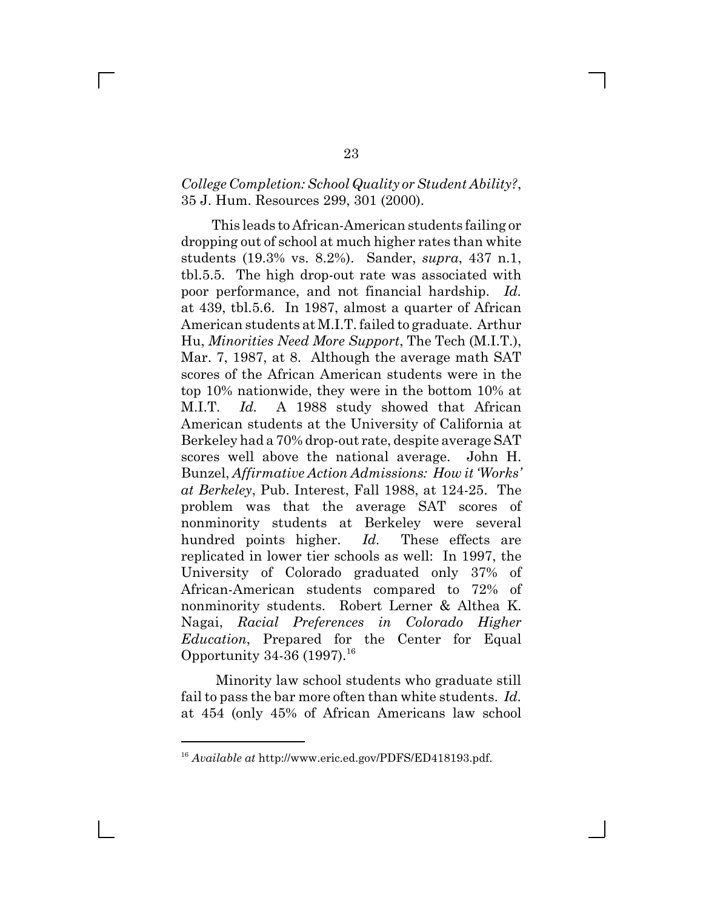### *College Completion: School Quality or Student Ability?*, 35 J. Hum. Resources 299, 301 (2000).

This leads to African-American students failing or dropping out of school at much higher rates than white students (19.3% vs. 8.2%). Sander, *supra*, 437 n.1, tbl.5.5. The high drop-out rate was associated with poor performance, and not financial hardship. *Id.* at 439, tbl.5.6. In 1987, almost a quarter of African American students at M.I.T. failed to graduate. Arthur Hu, *Minorities Need More Support*, The Tech (M.I.T.), Mar. 7, 1987, at 8. Although the average math SAT scores of the African American students were in the top 10% nationwide, they were in the bottom 10% at M.I.T. *Id.* A 1988 study showed that African American students at the University of California at Berkeley had a 70% drop-out rate, despite average SAT scores well above the national average. John H. Bunzel, *Affirmative Action Admissions: How it 'Works' at Berkeley*, Pub. Interest, Fall 1988, at 124-25. The problem was that the average SAT scores of nonminority students at Berkeley were several hundred points higher. *Id.* These effects are replicated in lower tier schools as well: In 1997, the University of Colorado graduated only 37% of African-American students compared to 72% of nonminority students. Robert Lerner & Althea K. Nagai, *Racial Preferences in Colorado Higher Education*, Prepared for the Center for Equal Opportunity 34-36  $(1997)^{16}$ 

 Minority law school students who graduate still fail to pass the bar more often than white students. *Id.* at 454 (only 45% of African Americans law school

<sup>16</sup> *Available at* http://www.eric.ed.gov/PDFS/ED418193.pdf.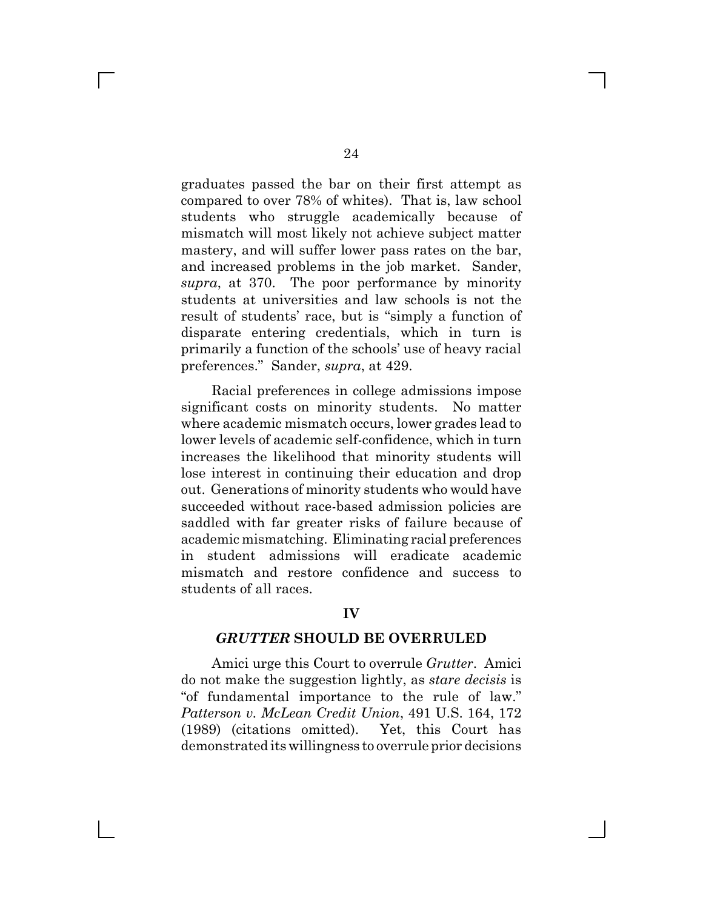graduates passed the bar on their first attempt as compared to over 78% of whites). That is, law school students who struggle academically because of mismatch will most likely not achieve subject matter mastery, and will suffer lower pass rates on the bar, and increased problems in the job market. Sander, *supra*, at 370. The poor performance by minority students at universities and law schools is not the result of students' race, but is "simply a function of disparate entering credentials, which in turn is primarily a function of the schools' use of heavy racial preferences." Sander, *supra*, at 429.

Racial preferences in college admissions impose significant costs on minority students. No matter where academic mismatch occurs, lower grades lead to lower levels of academic self-confidence, which in turn increases the likelihood that minority students will lose interest in continuing their education and drop out. Generations of minority students who would have succeeded without race-based admission policies are saddled with far greater risks of failure because of academic mismatching. Eliminating racial preferences in student admissions will eradicate academic mismatch and restore confidence and success to students of all races.

#### **IV**

#### *GRUTTER* **SHOULD BE OVERRULED**

Amici urge this Court to overrule *Grutter*. Amici do not make the suggestion lightly, as *stare decisis* is "of fundamental importance to the rule of law." *Patterson v. McLean Credit Union*, 491 U.S. 164, 172 (1989) (citations omitted). Yet, this Court has demonstrated its willingness to overrule prior decisions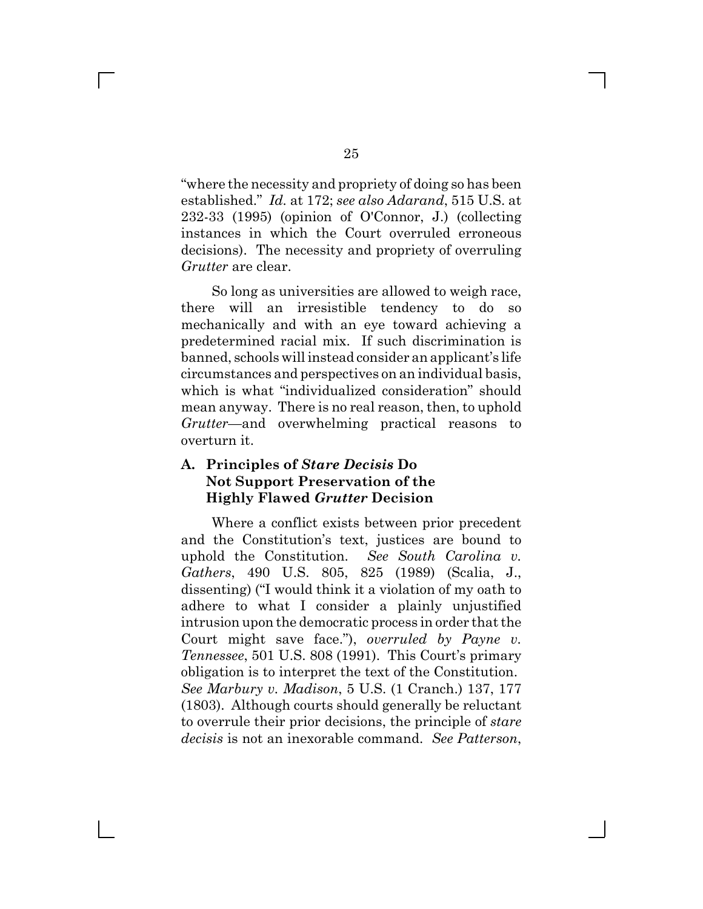fwhere the necessity and propriety of doing so has been established.g *Id.* at 172; *see also Adarand*, 515 U.S. at 232-33 (1995) (opinion of O'Connor, J.) (collecting instances in which the Court overruled erroneous decisions). The necessity and propriety of overruling *Grutter* are clear.

So long as universities are allowed to weigh race, there will an irresistible tendency to do so mechanically and with an eye toward achieving a predetermined racial mix. If such discrimination is banned, schools will instead consider an applicant's life circumstances and perspectives on an individual basis, which is what "individualized consideration" should mean anyway. There is no real reason, then, to uphold *Grutter*—and overwhelming practical reasons to overturn it.

### **A. Principles of** *Stare Decisis* **Do Not Support Preservation of the Highly Flawed** *Grutter* **Decision**

Where a conflict exists between prior precedent and the Constitution's text, justices are bound to uphold the Constitution. *See South Carolina v. Gathers*, 490 U.S. 805, 825 (1989) (Scalia, J., dissenting) ("I would think it a violation of my oath to adhere to what I consider a plainly unjustified intrusion upon the democratic process in order that the Court might save face."), *overruled by Payne v. Tennessee*, 501 U.S. 808 (1991). This Court's primary obligation is to interpret the text of the Constitution. *See Marbury v. Madison*, 5 U.S. (1 Cranch.) 137, 177 (1803). Although courts should generally be reluctant to overrule their prior decisions, the principle of *stare decisis* is not an inexorable command. *See Patterson*,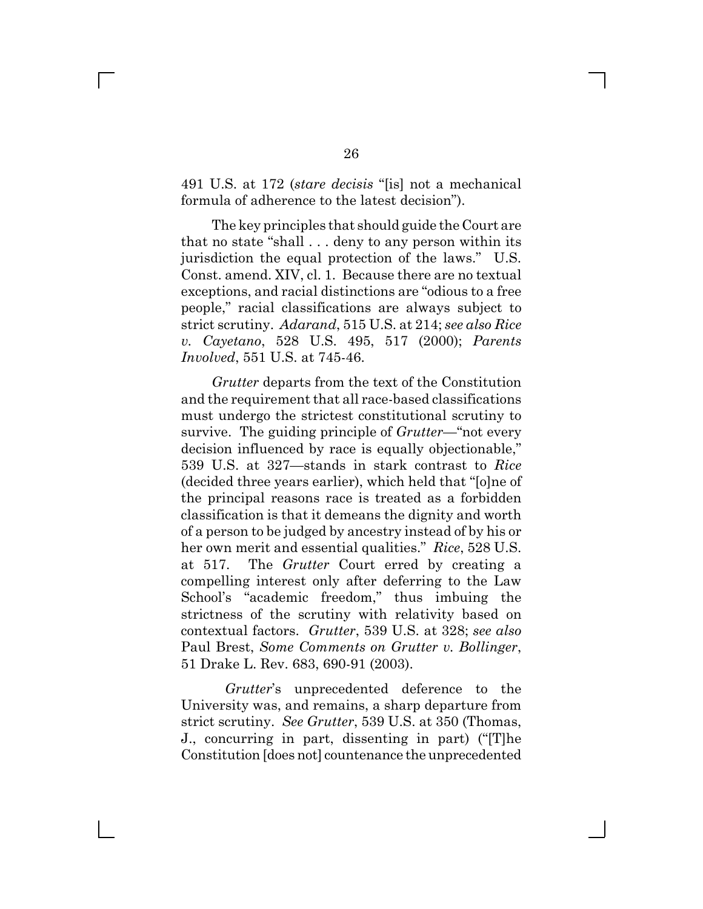491 U.S. at 172 *(stare decisis* "[is] not a mechanical formula of adherence to the latest decision".

The key principles that should guide the Court are that no state "shall  $\dots$  deny to any person within its jurisdiction the equal protection of the laws." U.S. Const. amend. XIV, cl. 1. Because there are no textual exceptions, and racial distinctions are "odious to a free people," racial classifications are always subject to strict scrutiny. *Adarand*, 515 U.S. at 214; *see also Rice v. Cayetano*, 528 U.S. 495, 517 (2000); *Parents Involved*, 551 U.S. at 745-46.

*Grutter* departs from the text of the Constitution and the requirement that all race-based classifications must undergo the strictest constitutional scrutiny to survive. The guiding principle of *Grutter*—"not every decision influenced by race is equally objectionable," 539 U.S. at 327—stands in stark contrast to *Rice*  $(decided three years earlier), which held that "[o]ne of$ the principal reasons race is treated as a forbidden classification is that it demeans the dignity and worth of a person to be judged by ancestry instead of by his or her own merit and essential qualities." Rice, 528 U.S. at 517. The *Grutter* Court erred by creating a compelling interest only after deferring to the Law School's "academic freedom," thus imbuing the strictness of the scrutiny with relativity based on contextual factors. *Grutter*, 539 U.S. at 328; *see also* Paul Brest, *Some Comments on Grutter v. Bollinger*, 51 Drake L. Rev. 683, 690-91 (2003).

*Grutter*'s unprecedented deference to the University was, and remains, a sharp departure from strict scrutiny. *See Grutter*, 539 U.S. at 350 (Thomas, J., concurring in part, dissenting in part) ("The Constitution [does not] countenance the unprecedented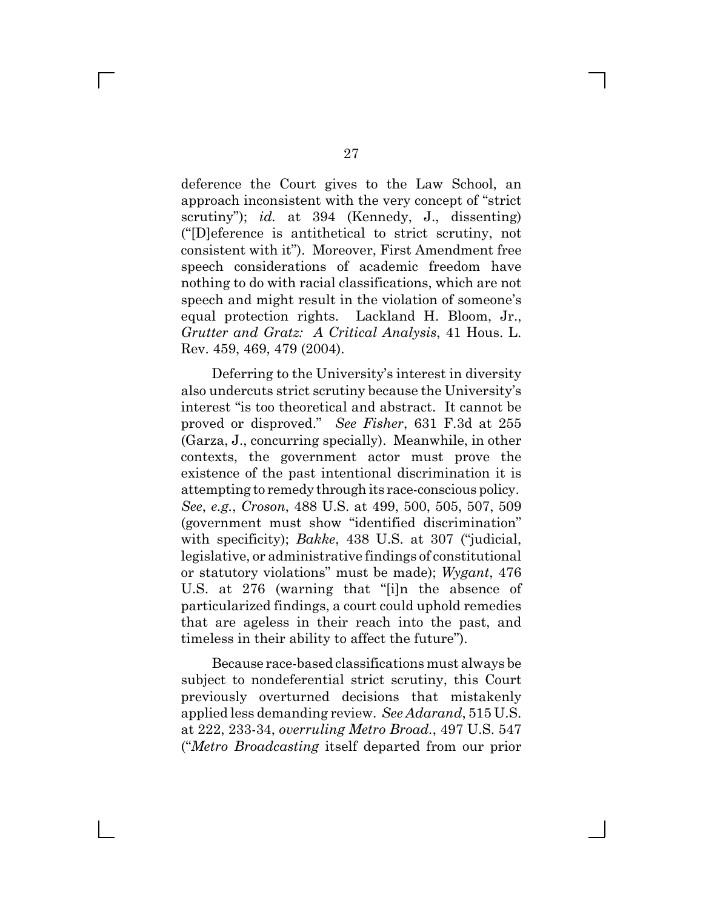deference the Court gives to the Law School, an approach inconsistent with the very concept of "strict" scrutiny"); *id.* at 394 (Kennedy, J., dissenting) (f[D]eference is antithetical to strict scrutiny, not consistent with it"). Moreover, First Amendment free speech considerations of academic freedom have nothing to do with racial classifications, which are not speech and might result in the violation of someone's equal protection rights. Lackland H. Bloom, Jr., *Grutter and Gratz: A Critical Analysis*, 41 Hous. L. Rev. 459, 469, 479 (2004).

Deferring to the University's interest in diversity also undercuts strict scrutiny because the University's interest "is too theoretical and abstract. It cannot be proved or disproved." See Fisher, 631 F.3d at 255 (Garza, J., concurring specially). Meanwhile, in other contexts, the government actor must prove the existence of the past intentional discrimination it is attempting to remedy through its race-conscious policy. *See*, *e.g.*, *Croson*, 488 U.S. at 499, 500, 505, 507, 509 (government must show "identified discrimination" with specificity); *Bakke*, 438 U.S. at 307 ("judicial, legislative, or administrative findings of constitutional or statutory violations" must be made); *Wygant*, 476 U.S. at  $276$  (warning that "[i]n the absence of particularized findings, a court could uphold remedies that are ageless in their reach into the past, and timeless in their ability to affect the future".

Because race-based classifications must always be subject to nondeferential strict scrutiny, this Court previously overturned decisions that mistakenly applied less demanding review. *See Adarand*, 515 U.S. at 222, 233-34, *overruling Metro Broad.*, 497 U.S. 547 (f*Metro Broadcasting* itself departed from our prior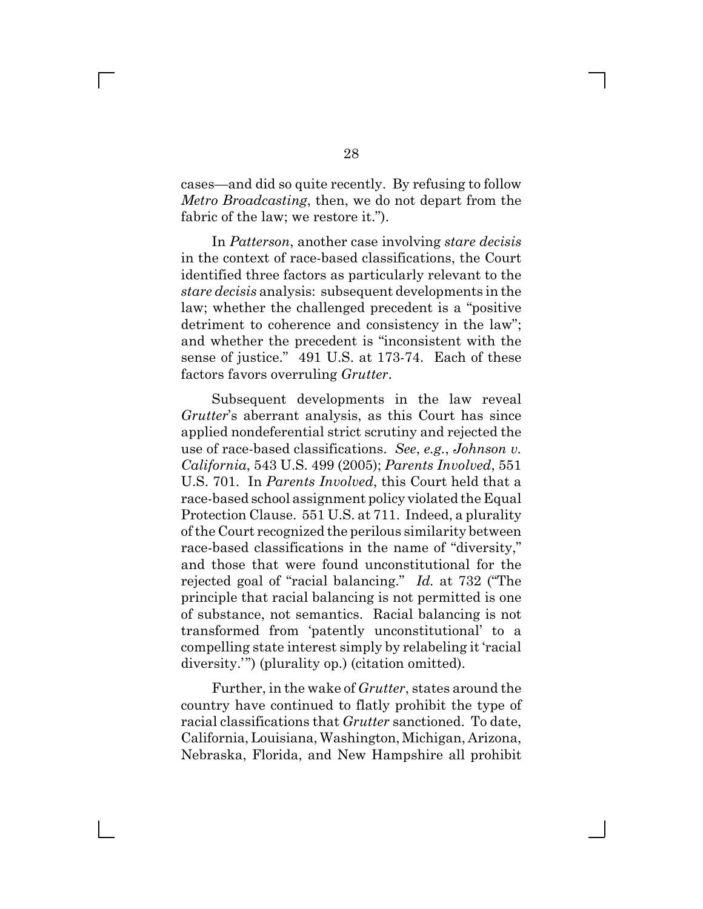cases—and did so quite recently. By refusing to follow *Metro Broadcasting*, then, we do not depart from the fabric of the law; we restore it.".

In *Patterson*, another case involving *stare decisis* in the context of race-based classifications, the Court identified three factors as particularly relevant to the *stare decisis* analysis: subsequent developments in the law; whether the challenged precedent is a "positive" detriment to coherence and consistency in the law"; and whether the precedent is "inconsistent with the sense of justice." 491 U.S. at 173-74. Each of these factors favors overruling *Grutter*.

Subsequent developments in the law reveal *Grutter's* aberrant analysis, as this Court has since applied nondeferential strict scrutiny and rejected the use of race-based classifications. *See*, *e.g.*, *Johnson v. California*, 543 U.S. 499 (2005); *Parents Involved*, 551 U.S. 701. In *Parents Involved*, this Court held that a race-based school assignment policy violated the Equal Protection Clause. 551 U.S. at 711. Indeed, a plurality of the Court recognized the perilous similarity between race-based classifications in the name of "diversity," and those that were found unconstitutional for the rejected goal of "racial balancing." *Id.* at 732 ("The principle that racial balancing is not permitted is one of substance, not semantics. Racial balancing is not transformed from 'patently unconstitutional' to a compelling state interest simply by relabeling it 'racial diversity.") (plurality op.) (citation omitted).

Further, in the wake of *Grutter*, states around the country have continued to flatly prohibit the type of racial classifications that *Grutter* sanctioned. To date, California, Louisiana, Washington, Michigan, Arizona, Nebraska, Florida, and New Hampshire all prohibit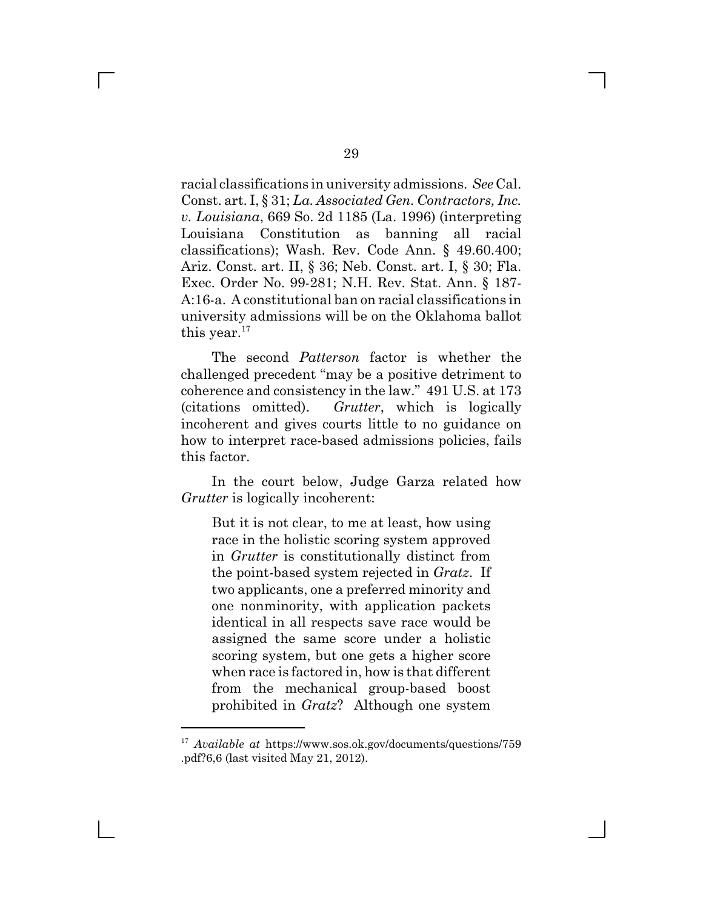racial classifications in university admissions. *See* Cal. Const. art. I, § 31; *La. Associated Gen. Contractors, Inc. v. Louisiana*, 669 So. 2d 1185 (La. 1996) (interpreting Louisiana Constitution as banning all racial classifications); Wash. Rev. Code Ann. § 49.60.400; Ariz. Const. art. II, § 36; Neb. Const. art. I, § 30; Fla. Exec. Order No. 99-281; N.H. Rev. Stat. Ann. § 187- A:16-a. A constitutional ban on racial classifications in university admissions will be on the Oklahoma ballot this year. $17$ 

The second *Patterson* factor is whether the challenged precedent "may be a positive detriment to coherence and consistency in the law." 491 U.S. at 173 (citations omitted). *Grutter*, which is logically incoherent and gives courts little to no guidance on how to interpret race-based admissions policies, fails this factor.

In the court below, Judge Garza related how *Grutter* is logically incoherent:

But it is not clear, to me at least, how using race in the holistic scoring system approved in *Grutter* is constitutionally distinct from the point-based system rejected in *Gratz*. If two applicants, one a preferred minority and one nonminority, with application packets identical in all respects save race would be assigned the same score under a holistic scoring system, but one gets a higher score when race is factored in, how is that different from the mechanical group-based boost prohibited in *Gratz*? Although one system

<sup>17</sup> *Available at* https://www.sos.ok.gov/documents/questions/759 .pdf?6,6 (last visited May 21, 2012).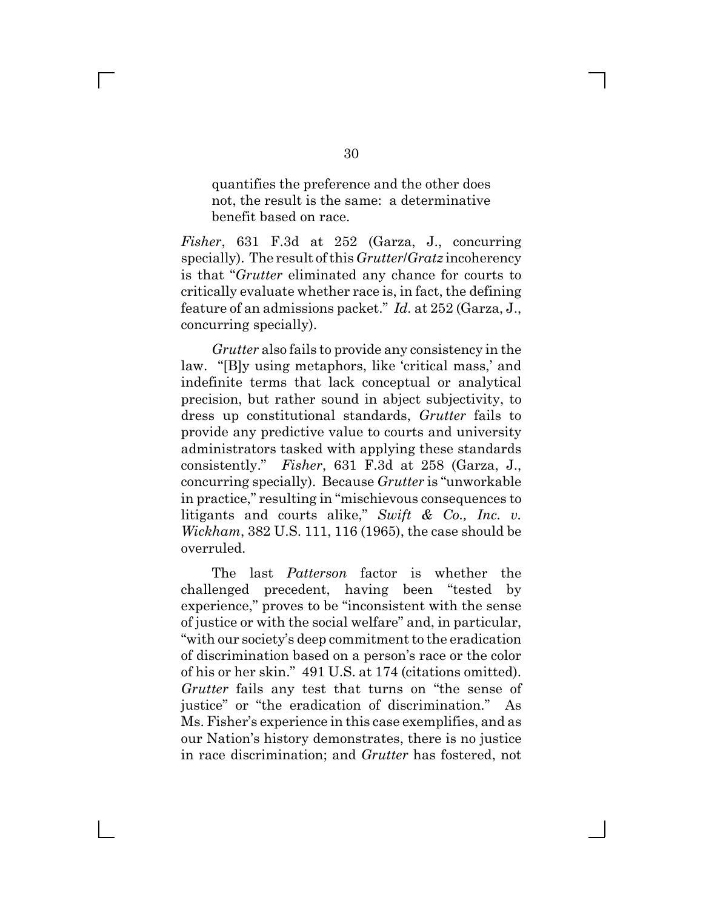quantifies the preference and the other does not, the result is the same: a determinative benefit based on race.

*Fisher*, 631 F.3d at 252 (Garza, J., concurring specially). The result of this *Grutter*/*Gratz* incoherency is that f*Grutter* eliminated any chance for courts to critically evaluate whether race is, in fact, the defining feature of an admissions packet.g *Id.* at 252 (Garza, J., concurring specially).

*Grutter* also fails to provide any consistency in the law. "[B]y using metaphors, like 'critical mass,' and indefinite terms that lack conceptual or analytical precision, but rather sound in abject subjectivity, to dress up constitutional standards, *Grutter* fails to provide any predictive value to courts and university administrators tasked with applying these standards consistently." Fisher, 631 F.3d at 258 (Garza, J., concurring specially). Because *Grutter* is "unworkable" in practice," resulting in "mischievous consequences to litigants and courts alike," *Swift & Co., Inc. v. Wickham*, 382 U.S. 111, 116 (1965), the case should be overruled.

The last *Patterson* factor is whether the challenged precedent, having been "tested by" experience," proves to be "inconsistent with the sense of justice or with the social welfare" and, in particular, "with our society's deep commitment to the eradication of discrimination based on a person's race or the color of his or her skin." 491 U.S. at 174 (citations omitted). *Grutter* fails any test that turns on "the sense of justice" or "the eradication of discrimination." As Ms. Fisher's experience in this case exemplifies, and as our Nation's history demonstrates, there is no justice in race discrimination; and *Grutter* has fostered, not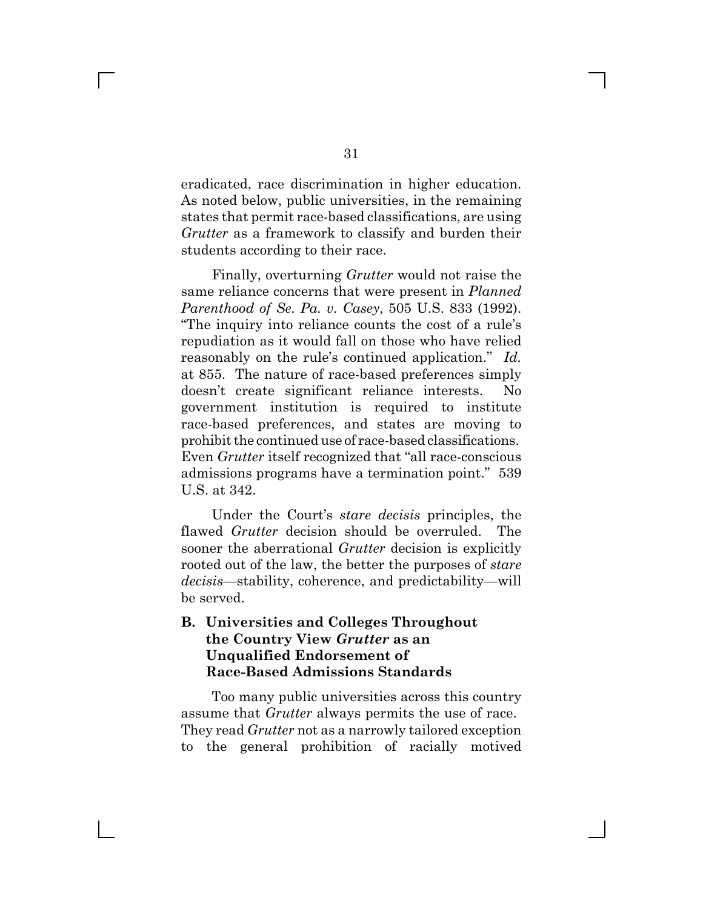eradicated, race discrimination in higher education. As noted below, public universities, in the remaining states that permit race-based classifications, are using *Grutter* as a framework to classify and burden their students according to their race.

Finally, overturning *Grutter* would not raise the same reliance concerns that were present in *Planned Parenthood of Se. Pa. v. Casey*, 505 U.S. 833 (1992). The inquiry into reliance counts the cost of a rule's repudiation as it would fall on those who have relied reasonably on the rule's continued application." *Id.* at 855. The nature of race-based preferences simply doesn't create significant reliance interests. No government institution is required to institute race-based preferences, and states are moving to prohibit the continued use of race-based classifications. Even *Grutter* itself recognized that "all race-conscious" admissions programs have a termination point." 539 U.S. at 342.

Under the Court's *stare decisis* principles, the flawed *Grutter* decision should be overruled. The sooner the aberrational *Grutter* decision is explicitly rooted out of the law, the better the purposes of *stare decisis*—stability, coherence, and predictability—will be served.

### **B. Universities and Colleges Throughout the Country View** *Grutter* **as an Unqualified Endorsement of Race-Based Admissions Standards**

Too many public universities across this country assume that *Grutter* always permits the use of race. They read *Grutter* not as a narrowly tailored exception to the general prohibition of racially motived

 $\mathbb{R}^n$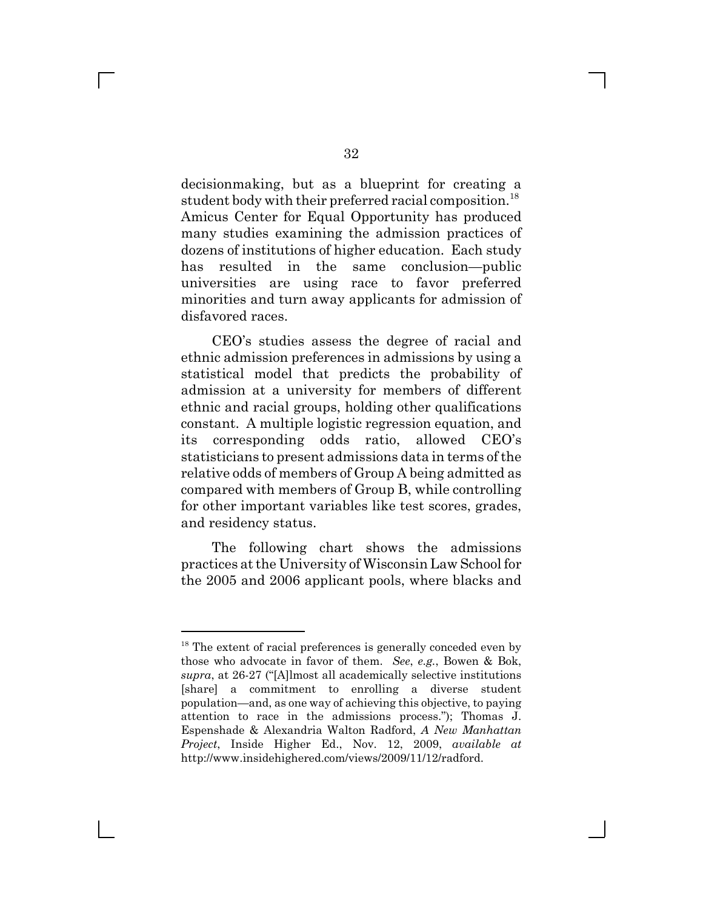decisionmaking, but as a blueprint for creating a student body with their preferred racial composition.<sup>18</sup> Amicus Center for Equal Opportunity has produced many studies examining the admission practices of dozens of institutions of higher education. Each study has resulted in the same conclusion—public universities are using race to favor preferred minorities and turn away applicants for admission of disfavored races.

CEO's studies assess the degree of racial and ethnic admission preferences in admissions by using a statistical model that predicts the probability of admission at a university for members of different ethnic and racial groups, holding other qualifications constant. A multiple logistic regression equation, and its corresponding odds ratio, allowed CEO's statisticians to present admissions data in terms of the relative odds of members of Group A being admitted as compared with members of Group B, while controlling for other important variables like test scores, grades, and residency status.

The following chart shows the admissions practices at the University of Wisconsin Law School for the 2005 and 2006 applicant pools, where blacks and

<sup>&</sup>lt;sup>18</sup> The extent of racial preferences is generally conceded even by those who advocate in favor of them. *See*, *e.g.*, Bowen & Bok, supra, at 26-27 ("[A]lmost all academically selective institutions [share] a commitment to enrolling a diverse student population—and, as one way of achieving this objective, to paying attention to race in the admissions process."); Thomas J. Espenshade & Alexandria Walton Radford, *A New Manhattan Project*, Inside Higher Ed., Nov. 12, 2009, *available at* http://www.insidehighered.com/views/2009/11/12/radford.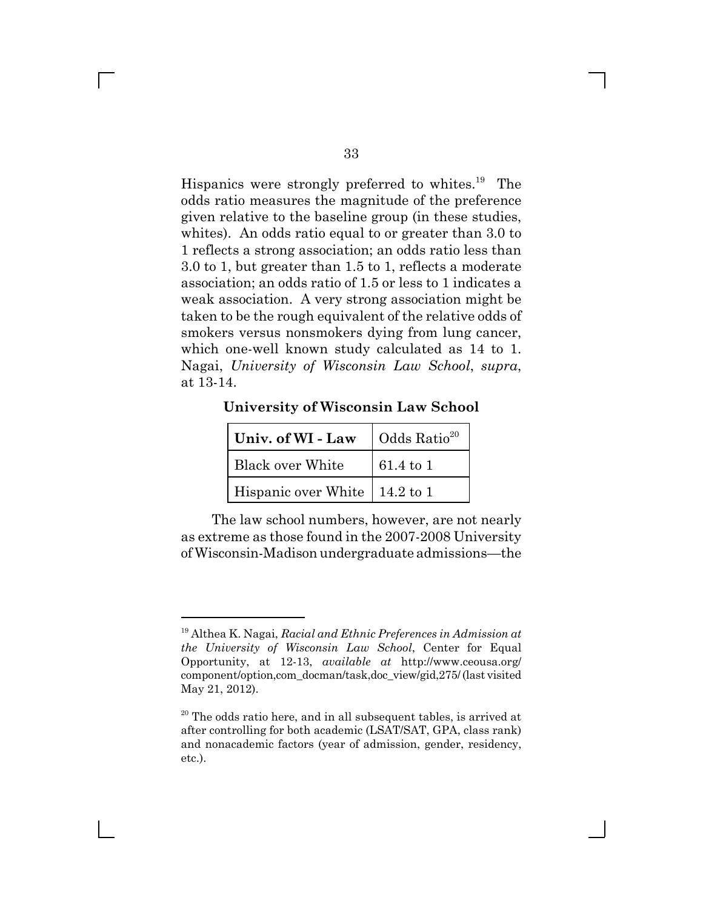Hispanics were strongly preferred to whites.<sup>19</sup> The odds ratio measures the magnitude of the preference given relative to the baseline group (in these studies, whites). An odds ratio equal to or greater than 3.0 to 1 reflects a strong association; an odds ratio less than 3.0 to 1, but greater than 1.5 to 1, reflects a moderate association; an odds ratio of 1.5 or less to 1 indicates a weak association. A very strong association might be taken to be the rough equivalent of the relative odds of smokers versus nonsmokers dying from lung cancer, which one-well known study calculated as 14 to 1. Nagai, *University of Wisconsin Law School*, *supra*, at 13-14.

**University of Wisconsin Law School**

| Univ. of WI - Law                     | Odds $Ratio20$ |  |
|---------------------------------------|----------------|--|
| <b>Black over White</b>               | $61.4$ to 1    |  |
| Hispanic over White $\vert$ 14.2 to 1 |                |  |

The law school numbers, however, are not nearly as extreme as those found in the 2007-2008 University of Wisconsin-Madison undergraduate admissions-the

<sup>19</sup> Althea K. Nagai, *Racial and Ethnic Preferences in Admission at the University of Wisconsin Law School*, Center for Equal Opportunity, at 12-13, *available at* http://www.ceousa.org/ component/option,com\_docman/task,doc\_view/gid,275/ (last visited May 21, 2012).

 $20$  The odds ratio here, and in all subsequent tables, is arrived at after controlling for both academic (LSAT/SAT, GPA, class rank) and nonacademic factors (year of admission, gender, residency, etc.).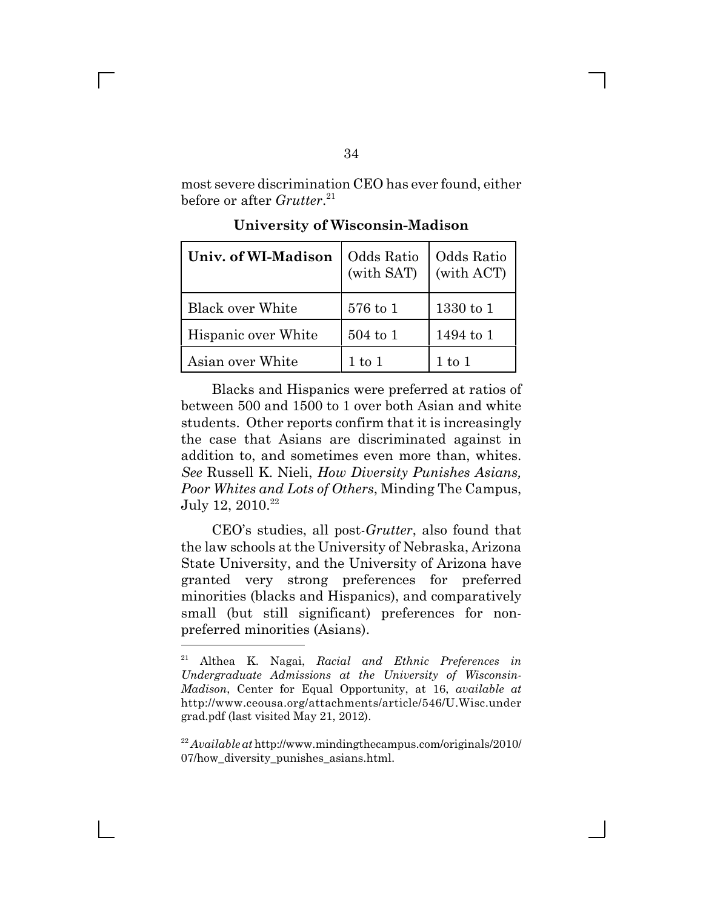most severe discrimination CEO has ever found, either before or after *Grutter*. 21

| Univ. of WI-Madison     | Odds Ratio<br>(with SAT) | Odds Ratio<br>(with ACT) |
|-------------------------|--------------------------|--------------------------|
| <b>Black over White</b> | 576 to 1                 | $1330$ to $1$            |
| Hispanic over White     | $504$ to $1$             | 1494 to 1                |
| Asian over White        | $1$ to $1$               | $1$ to $1$               |

**University of Wisconsin-Madison**

Blacks and Hispanics were preferred at ratios of between 500 and 1500 to 1 over both Asian and white students. Other reports confirm that it is increasingly the case that Asians are discriminated against in addition to, and sometimes even more than, whites. *See* Russell K. Nieli, *How Diversity Punishes Asians, Poor Whites and Lots of Others*, Minding The Campus, July 12, 2010.<sup>22</sup>

CEO's studies, all post-*Grutter*, also found that the law schools at the University of Nebraska, Arizona State University, and the University of Arizona have granted very strong preferences for preferred minorities (blacks and Hispanics), and comparatively small (but still significant) preferences for nonpreferred minorities (Asians).

<sup>21</sup> Althea K. Nagai, *Racial and Ethnic Preferences in Undergraduate Admissions at the University of Wisconsin-Madison*, Center for Equal Opportunity, at 16, *available at* http://www.ceousa.org/attachments/article/546/U.Wisc.under grad.pdf (last visited May 21, 2012).

<sup>22</sup> *Available at* http://www.mindingthecampus.com/originals/2010/ 07/how\_diversity\_punishes\_asians.html.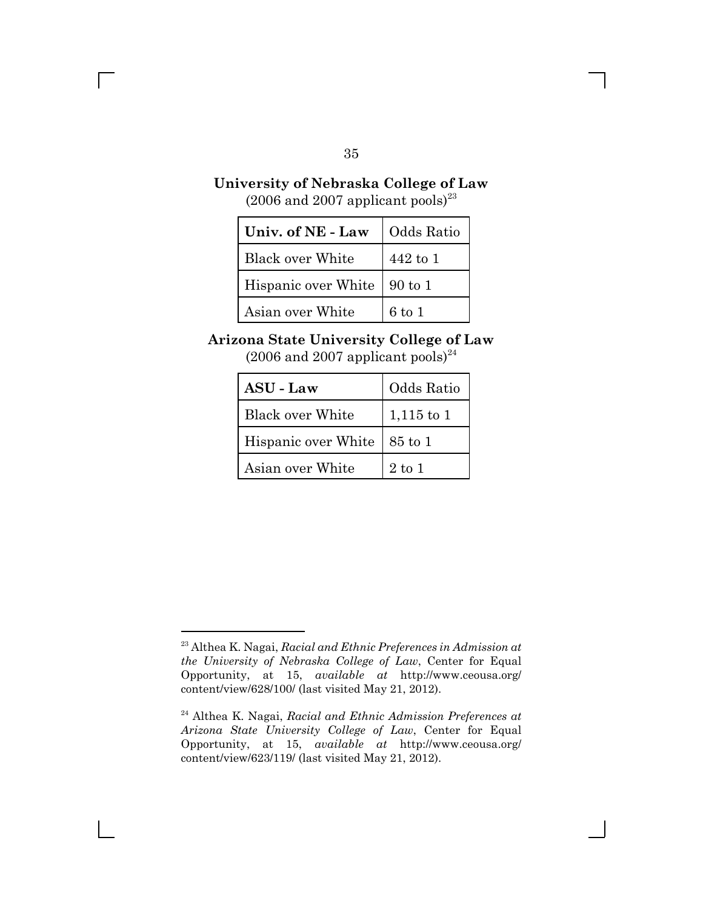## **University of Nebraska College of Law**

 $(2006 \text{ and } 2007 \text{ aph}$  pools)<sup>23</sup>

| Univ. of NE - Law   Odds Ratio |            |  |
|--------------------------------|------------|--|
| Black over White               | 442 to 1   |  |
| Hispanic over White   90 to 1  |            |  |
| Asian over White               | $6$ to $1$ |  |

### **Arizona State University College of Law**

 $(2006$  and  $2007$  applicant pools)<sup>24</sup>

| <b>ASU - Law</b>        | Odds Ratio   |
|-------------------------|--------------|
| <b>Black over White</b> | $1,115$ to 1 |
| Hispanic over White     | 85 to 1      |
| Asian over White        | $2$ to $1$   |

35

<sup>23</sup> Althea K. Nagai, *Racial and Ethnic Preferences in Admission at the University of Nebraska College of Law*, Center for Equal Opportunity, at 15, *available at* http://www.ceousa.org/ content/view/628/100/ (last visited May 21, 2012).

<sup>24</sup> Althea K. Nagai, *Racial and Ethnic Admission Preferences at Arizona State University College of Law*, Center for Equal Opportunity, at 15, *available at* http://www.ceousa.org/ content/view/623/119/ (last visited May 21, 2012).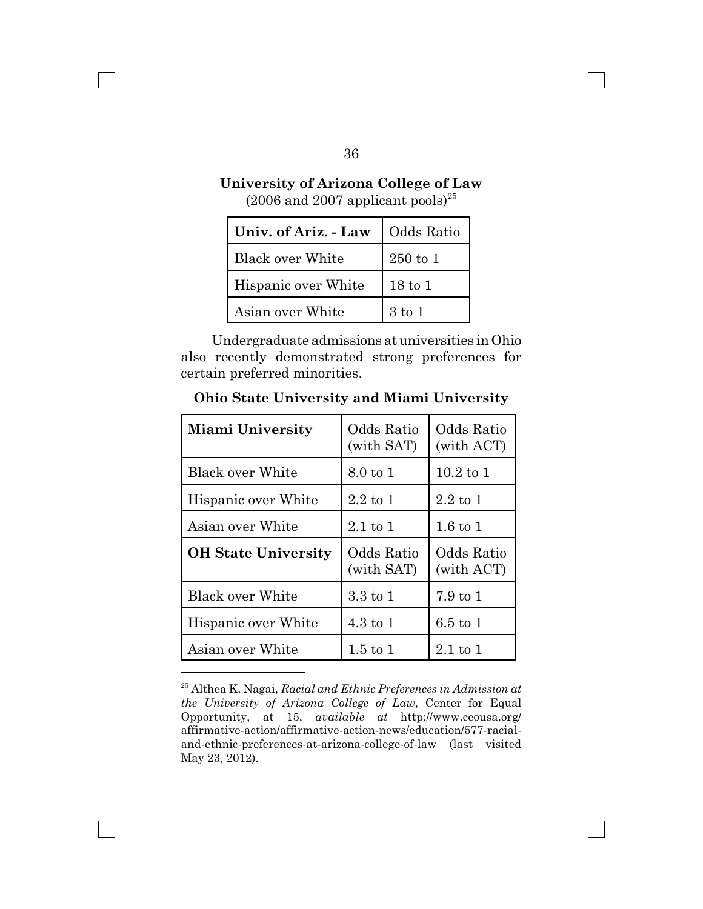### **University of Arizona College of Law**  $(2006$  and  $2007$  applicant pools)<sup>25</sup>

| Univ. of Ariz. - Law | Odds Ratio         |
|----------------------|--------------------|
| Black over White     | $250$ to 1         |
| Hispanic over White  | $18 \text{ to } 1$ |
| Asian over White     | $3 \text{ to } 1$  |

Undergraduate admissions at universities in Ohio also recently demonstrated strong preferences for certain preferred minorities.

**Ohio State University and Miami University**

| <b>Miami University</b>    | Odds Ratio<br>(with SAT) | Odds Ratio<br>(with ACT)  |
|----------------------------|--------------------------|---------------------------|
| <b>Black over White</b>    | 8.0 to 1                 | $10.2$ to 1               |
| Hispanic over White        | $2.2 \text{ to } 1$      | $2.2 \; \mathrm{to} \; 1$ |
| Asian over White           | $2.1 \text{ to } 1$      | $1.6 \text{ to } 1$       |
| <b>OH State University</b> | Odds Ratio<br>(with SAT) | Odds Ratio<br>(with ACT)  |
| <b>Black over White</b>    | 3.3 to 1                 | $7.9 \text{ to } 1$       |
| Hispanic over White        | $4.3 \text{ to } 1$      | $6.5 \text{ to } 1$       |
| Asian over White           | $1.5 \text{ to } 1$      | $2.1 \text{ to } 1$       |

<sup>25</sup> Althea K. Nagai, *Racial and Ethnic Preferences in Admission at the University of Arizona College of Law*, Center for Equal Opportunity, at 15, *available at* http://www.ceousa.org/ affirmative-action/affirmative-action-news/education/577-racialand-ethnic-preferences-at-arizona-college-of-law (last visited May 23, 2012).

36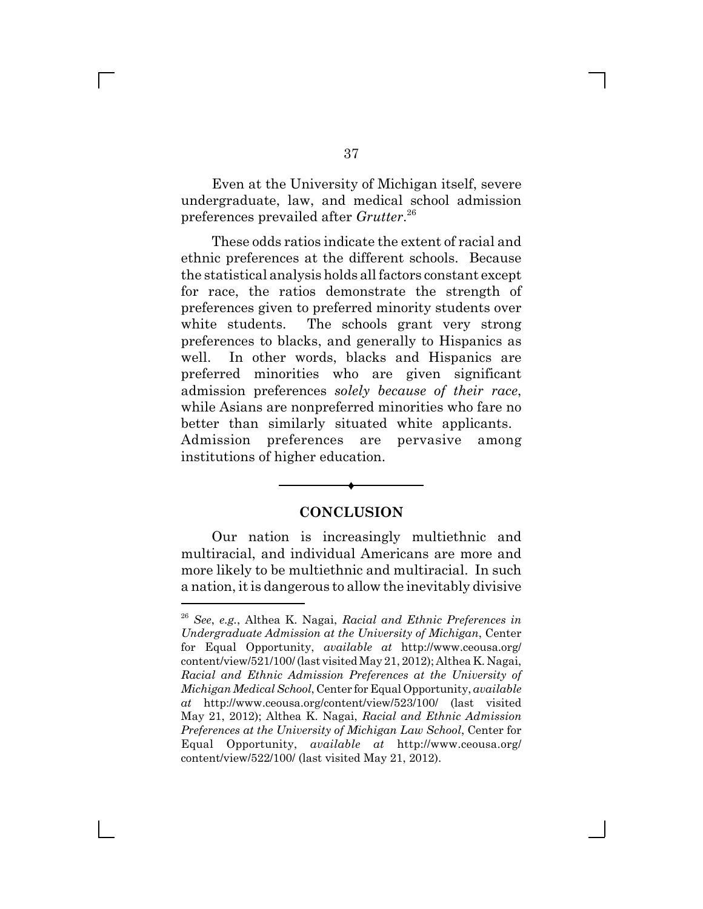Even at the University of Michigan itself, severe undergraduate, law, and medical school admission preferences prevailed after *Grutter*. 26

These odds ratios indicate the extent of racial and ethnic preferences at the different schools. Because the statistical analysis holds all factors constant except for race, the ratios demonstrate the strength of preferences given to preferred minority students over white students. The schools grant very strong preferences to blacks, and generally to Hispanics as well. In other words, blacks and Hispanics are preferred minorities who are given significant admission preferences *solely because of their race*, while Asians are nonpreferred minorities who fare no better than similarly situated white applicants. Admission preferences are pervasive among institutions of higher education.

#### **CONCLUSION**

®

Our nation is increasingly multiethnic and multiracial, and individual Americans are more and more likely to be multiethnic and multiracial. In such a nation, it is dangerous to allow the inevitably divisive

<sup>26</sup> *See*, *e.g.*, Althea K. Nagai, *Racial and Ethnic Preferences in Undergraduate Admission at the University of Michigan*, Center for Equal Opportunity, *available at* http://www.ceousa.org/ content/view/521/100/ (last visited May 21, 2012); Althea K. Nagai, *Racial and Ethnic Admission Preferences at the University of Michigan Medical School*, Center for Equal Opportunity, *available at* http://www.ceousa.org/content/view/523/100/ (last visited May 21, 2012); Althea K. Nagai, *Racial and Ethnic Admission Preferences at the University of Michigan Law School*, Center for Equal Opportunity, *available at* http://www.ceousa.org/ content/view/522/100/ (last visited May 21, 2012).